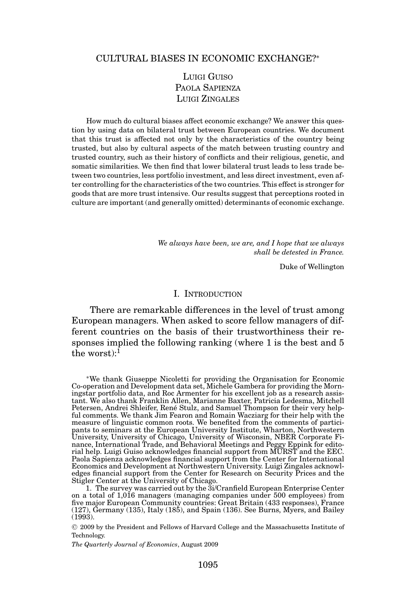## CULTURAL BIASES IN ECONOMIC EXCHANGE?<sup>∗</sup>

# LUIGI GUISO PAOLA SAPIENZA LUIGI ZINGALES

How much do cultural biases affect economic exchange? We answer this question by using data on bilateral trust between European countries. We document that this trust is affected not only by the characteristics of the country being trusted, but also by cultural aspects of the match between trusting country and trusted country, such as their history of conflicts and their religious, genetic, and somatic similarities. We then find that lower bilateral trust leads to less trade between two countries, less portfolio investment, and less direct investment, even after controlling for the characteristics of the two countries. This effect is stronger for goods that are more trust intensive. Our results suggest that perceptions rooted in culture are important (and generally omitted) determinants of economic exchange.

> *We always have been, we are, and I hope that we always shall be detested in France.*

> > Duke of Wellington

#### I. INTRODUCTION

There are remarkable differences in the level of trust among European managers. When asked to score fellow managers of different countries on the basis of their trustworthiness their responses implied the following ranking (where 1 is the best and 5 the worst $\cdot$ <sup>1</sup>

*The Quarterly Journal of Economics*, August 2009

<sup>∗</sup>We thank Giuseppe Nicoletti for providing the Organisation for Economic Co-operation and Development data set, Michele Gambera for providing the Morningstar portfolio data, and Roc Armenter for his excellent job as a research assis-tant. We also thank Franklin Allen, Marianne Baxter, Patricia Ledesma, Mitchell Petersen, Andrei Shleifer, René Stulz, and Samuel Thompson for their very helpful comments. We thank Jim Fearon and Romain Wacziarg for their help with the measure of linguistic common roots. We benefited from the comments of participants to seminars at the European University Institute, Wharton, Northwestern University, University of Chicago, University of Wisconsin, NBER Corporate Fi-nance, International Trade, and Behavioral Meetings and Peggy Eppink for editorial help. Luigi Guiso acknowledges financial support from MURST and the EEC. Paola Sapienza acknowledges financial support from the Center for International Economics and Development at Northwestern University. Luigi Zingales acknowledges financial support from the Center for Research on Security Prices and the Stigler Center at the University of Chicago.

<sup>1.</sup> The survey was carried out by the 3i/Cranfield European Enterprise Center on a total of 1,016 managers (managing companies under 500 employees) from five major European Community countries: Great Britain (433 responses), France (127), Germany (135), Italy (185), and Spain (136). See Burns, Myers, and Bailey (1993).

<sup>C</sup> 2009 by the President and Fellows of Harvard College and the Massachusetts Institute of Technology.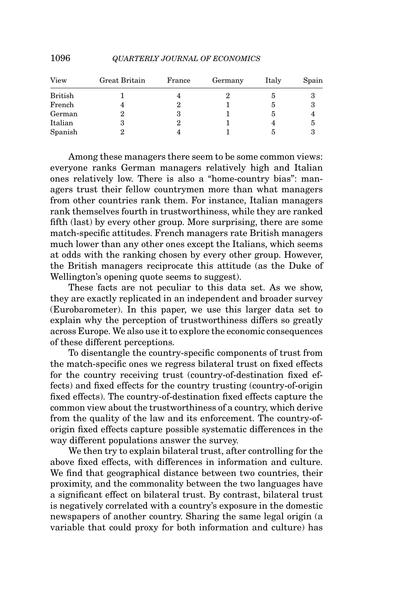| Great Britain | France | Germany | Italy | Spain |
|---------------|--------|---------|-------|-------|
|               |        |         |       |       |
|               |        |         |       | 3     |
|               |        |         |       |       |
|               |        |         |       | 5     |
|               |        |         |       |       |
|               |        |         |       |       |

Among these managers there seem to be some common views: everyone ranks German managers relatively high and Italian ones relatively low. There is also a "home-country bias": managers trust their fellow countrymen more than what managers from other countries rank them. For instance, Italian managers rank themselves fourth in trustworthiness, while they are ranked fifth (last) by every other group. More surprising, there are some match-specific attitudes. French managers rate British managers much lower than any other ones except the Italians, which seems at odds with the ranking chosen by every other group. However, the British managers reciprocate this attitude (as the Duke of Wellington's opening quote seems to suggest).

These facts are not peculiar to this data set. As we show, they are exactly replicated in an independent and broader survey (Eurobarometer). In this paper, we use this larger data set to explain why the perception of trustworthiness differs so greatly across Europe. We also use it to explore the economic consequences of these different perceptions.

To disentangle the country-specific components of trust from the match-specific ones we regress bilateral trust on fixed effects for the country receiving trust (country-of-destination fixed effects) and fixed effects for the country trusting (country-of-origin fixed effects). The country-of-destination fixed effects capture the common view about the trustworthiness of a country, which derive from the quality of the law and its enforcement. The country-oforigin fixed effects capture possible systematic differences in the way different populations answer the survey.

We then try to explain bilateral trust, after controlling for the above fixed effects, with differences in information and culture. We find that geographical distance between two countries, their proximity, and the commonality between the two languages have a significant effect on bilateral trust. By contrast, bilateral trust is negatively correlated with a country's exposure in the domestic newspapers of another country. Sharing the same legal origin (a variable that could proxy for both information and culture) has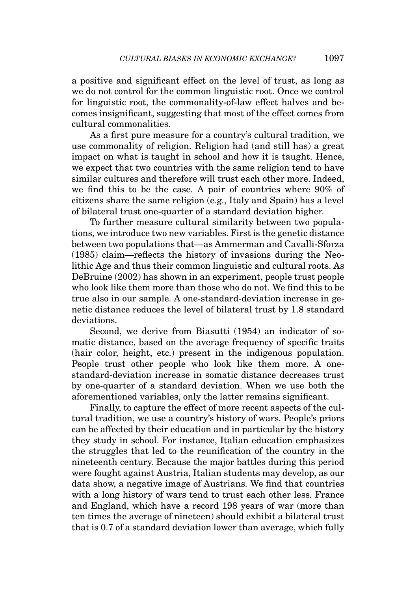a positive and significant effect on the level of trust, as long as we do not control for the common linguistic root. Once we control for linguistic root, the commonality-of-law effect halves and becomes insignificant, suggesting that most of the effect comes from cultural commonalities.

As a first pure measure for a country's cultural tradition, we use commonality of religion. Religion had (and still has) a great impact on what is taught in school and how it is taught. Hence, we expect that two countries with the same religion tend to have similar cultures and therefore will trust each other more. Indeed, we find this to be the case. A pair of countries where 90% of citizens share the same religion (e.g., Italy and Spain) has a level of bilateral trust one-quarter of a standard deviation higher.

To further measure cultural similarity between two populations, we introduce two new variables. First is the genetic distance between two populations that—as Ammerman and Cavalli-Sforza (1985) claim—reflects the history of invasions during the Neolithic Age and thus their common linguistic and cultural roots. As DeBruine (2002) has shown in an experiment, people trust people who look like them more than those who do not. We find this to be true also in our sample. A one-standard-deviation increase in genetic distance reduces the level of bilateral trust by 1.8 standard deviations.

Second, we derive from Biasutti (1954) an indicator of somatic distance, based on the average frequency of specific traits (hair color, height, etc.) present in the indigenous population. People trust other people who look like them more. A onestandard-deviation increase in somatic distance decreases trust by one-quarter of a standard deviation. When we use both the aforementioned variables, only the latter remains significant.

Finally, to capture the effect of more recent aspects of the cultural tradition, we use a country's history of wars. People's priors can be affected by their education and in particular by the history they study in school. For instance, Italian education emphasizes the struggles that led to the reunification of the country in the nineteenth century. Because the major battles during this period were fought against Austria, Italian students may develop, as our data show, a negative image of Austrians. We find that countries with a long history of wars tend to trust each other less. France and England, which have a record 198 years of war (more than ten times the average of nineteen) should exhibit a bilateral trust that is 0.7 of a standard deviation lower than average, which fully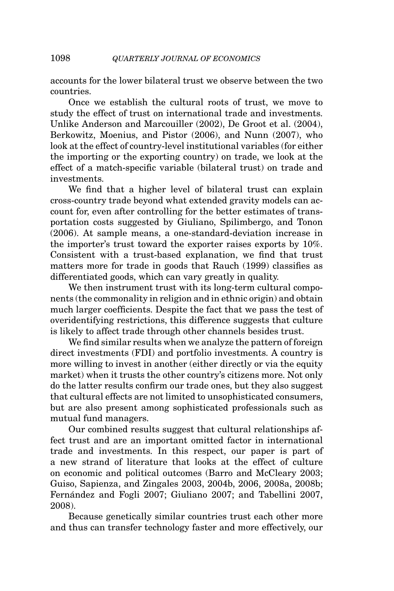accounts for the lower bilateral trust we observe between the two countries.

Once we establish the cultural roots of trust, we move to study the effect of trust on international trade and investments. Unlike Anderson and Marcouiller (2002), De Groot et al. (2004), Berkowitz, Moenius, and Pistor (2006), and Nunn (2007), who look at the effect of country-level institutional variables (for either the importing or the exporting country) on trade, we look at the effect of a match-specific variable (bilateral trust) on trade and investments.

We find that a higher level of bilateral trust can explain cross-country trade beyond what extended gravity models can account for, even after controlling for the better estimates of transportation costs suggested by Giuliano, Spilimbergo, and Tonon (2006). At sample means, a one-standard-deviation increase in the importer's trust toward the exporter raises exports by 10%. Consistent with a trust-based explanation, we find that trust matters more for trade in goods that Rauch (1999) classifies as differentiated goods, which can vary greatly in quality.

We then instrument trust with its long-term cultural components (the commonality in religion and in ethnic origin) and obtain much larger coefficients. Despite the fact that we pass the test of overidentifying restrictions, this difference suggests that culture is likely to affect trade through other channels besides trust.

We find similar results when we analyze the pattern of foreign direct investments (FDI) and portfolio investments. A country is more willing to invest in another (either directly or via the equity market) when it trusts the other country's citizens more. Not only do the latter results confirm our trade ones, but they also suggest that cultural effects are not limited to unsophisticated consumers, but are also present among sophisticated professionals such as mutual fund managers.

Our combined results suggest that cultural relationships affect trust and are an important omitted factor in international trade and investments. In this respect, our paper is part of a new strand of literature that looks at the effect of culture on economic and political outcomes (Barro and McCleary 2003; Guiso, Sapienza, and Zingales 2003, 2004b, 2006, 2008a, 2008b; Fernández and Fogli 2007; Giuliano 2007; and Tabellini 2007, 2008).

Because genetically similar countries trust each other more and thus can transfer technology faster and more effectively, our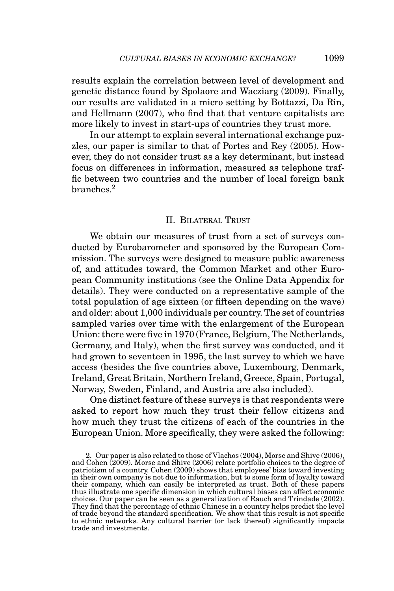results explain the correlation between level of development and genetic distance found by Spolaore and Wacziarg (2009). Finally, our results are validated in a micro setting by Bottazzi, Da Rin, and Hellmann (2007), who find that that venture capitalists are more likely to invest in start-ups of countries they trust more.

In our attempt to explain several international exchange puzzles, our paper is similar to that of Portes and Rey (2005). However, they do not consider trust as a key determinant, but instead focus on differences in information, measured as telephone traffic between two countries and the number of local foreign bank branches<sup>2</sup>

#### II. BILATERAL TRUST

We obtain our measures of trust from a set of surveys conducted by Eurobarometer and sponsored by the European Commission. The surveys were designed to measure public awareness of, and attitudes toward, the Common Market and other European Community institutions (see the Online Data Appendix for details). They were conducted on a representative sample of the total population of age sixteen (or fifteen depending on the wave) and older: about 1,000 individuals per country. The set of countries sampled varies over time with the enlargement of the European Union: there were five in 1970 (France, Belgium, The Netherlands, Germany, and Italy), when the first survey was conducted, and it had grown to seventeen in 1995, the last survey to which we have access (besides the five countries above, Luxembourg, Denmark, Ireland, Great Britain, Northern Ireland, Greece, Spain, Portugal, Norway, Sweden, Finland, and Austria are also included).

One distinct feature of these surveys is that respondents were asked to report how much they trust their fellow citizens and how much they trust the citizens of each of the countries in the European Union. More specifically, they were asked the following:

<sup>2.</sup> Our paper is also related to those of Vlachos (2004), Morse and Shive (2006), and Cohen (2009). Morse and Shive (2006) relate portfolio choices to the degree of patriotism of a country. Cohen (2009) shows that employees' bias toward investing in their own company is not due to information, but to some form of loyalty toward their company, which can easily be interpreted as trust. Both of these papers thus illustrate one specific dimension in which cultural biases can affect economic choices. Our paper can be seen as a generalization of Rauch and Trindade (2002). They find that the percentage of ethnic Chinese in a country helps predict the level of trade beyond the standard specification. We show that this result is not specific to ethnic networks. Any cultural barrier (or lack thereof) significantly impacts trade and investments.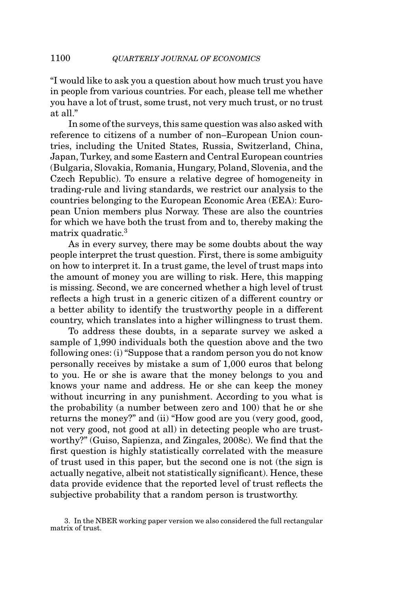"I would like to ask you a question about how much trust you have in people from various countries. For each, please tell me whether you have a lot of trust, some trust, not very much trust, or no trust at all."

In some of the surveys, this same question was also asked with reference to citizens of a number of non–European Union countries, including the United States, Russia, Switzerland, China, Japan, Turkey, and some Eastern and Central European countries (Bulgaria, Slovakia, Romania, Hungary, Poland, Slovenia, and the Czech Republic). To ensure a relative degree of homogeneity in trading-rule and living standards, we restrict our analysis to the countries belonging to the European Economic Area (EEA): European Union members plus Norway. These are also the countries for which we have both the trust from and to, thereby making the matrix quadratic.<sup>3</sup>

As in every survey, there may be some doubts about the way people interpret the trust question. First, there is some ambiguity on how to interpret it. In a trust game, the level of trust maps into the amount of money you are willing to risk. Here, this mapping is missing. Second, we are concerned whether a high level of trust reflects a high trust in a generic citizen of a different country or a better ability to identify the trustworthy people in a different country, which translates into a higher willingness to trust them.

To address these doubts, in a separate survey we asked a sample of 1,990 individuals both the question above and the two following ones: (i) "Suppose that a random person you do not know personally receives by mistake a sum of 1,000 euros that belong to you. He or she is aware that the money belongs to you and knows your name and address. He or she can keep the money without incurring in any punishment. According to you what is the probability (a number between zero and 100) that he or she returns the money?" and (ii) "How good are you (very good, good, not very good, not good at all) in detecting people who are trustworthy?" (Guiso, Sapienza, and Zingales, 2008c). We find that the first question is highly statistically correlated with the measure of trust used in this paper, but the second one is not (the sign is actually negative, albeit not statistically significant). Hence, these data provide evidence that the reported level of trust reflects the subjective probability that a random person is trustworthy.

<sup>3.</sup> In the NBER working paper version we also considered the full rectangular matrix of trust.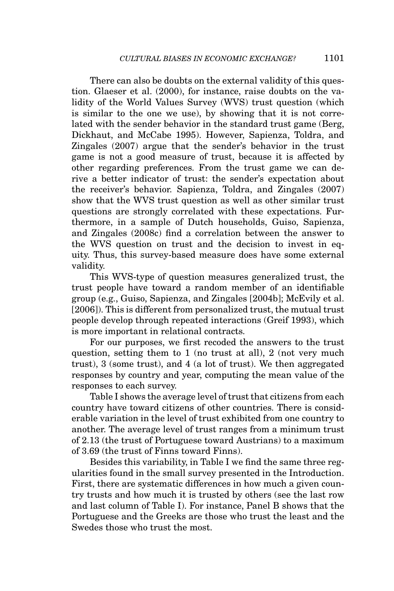There can also be doubts on the external validity of this question. Glaeser et al. (2000), for instance, raise doubts on the validity of the World Values Survey (WVS) trust question (which is similar to the one we use), by showing that it is not correlated with the sender behavior in the standard trust game (Berg, Dickhaut, and McCabe 1995). However, Sapienza, Toldra, and Zingales (2007) argue that the sender's behavior in the trust game is not a good measure of trust, because it is affected by other regarding preferences. From the trust game we can derive a better indicator of trust: the sender's expectation about the receiver's behavior. Sapienza, Toldra, and Zingales (2007) show that the WVS trust question as well as other similar trust questions are strongly correlated with these expectations. Furthermore, in a sample of Dutch households, Guiso, Sapienza, and Zingales (2008c) find a correlation between the answer to the WVS question on trust and the decision to invest in equity. Thus, this survey-based measure does have some external validity.

This WVS-type of question measures generalized trust, the trust people have toward a random member of an identifiable group (e.g., Guiso, Sapienza, and Zingales [2004b]; McEvily et al. [2006]). This is different from personalized trust, the mutual trust people develop through repeated interactions (Greif 1993), which is more important in relational contracts.

For our purposes, we first recoded the answers to the trust question, setting them to 1 (no trust at all), 2 (not very much trust), 3 (some trust), and 4 (a lot of trust). We then aggregated responses by country and year, computing the mean value of the responses to each survey.

Table I shows the average level of trust that citizens from each country have toward citizens of other countries. There is considerable variation in the level of trust exhibited from one country to another. The average level of trust ranges from a minimum trust of 2.13 (the trust of Portuguese toward Austrians) to a maximum of 3.69 (the trust of Finns toward Finns).

Besides this variability, in Table I we find the same three regularities found in the small survey presented in the Introduction. First, there are systematic differences in how much a given country trusts and how much it is trusted by others (see the last row and last column of Table I). For instance, Panel B shows that the Portuguese and the Greeks are those who trust the least and the Swedes those who trust the most.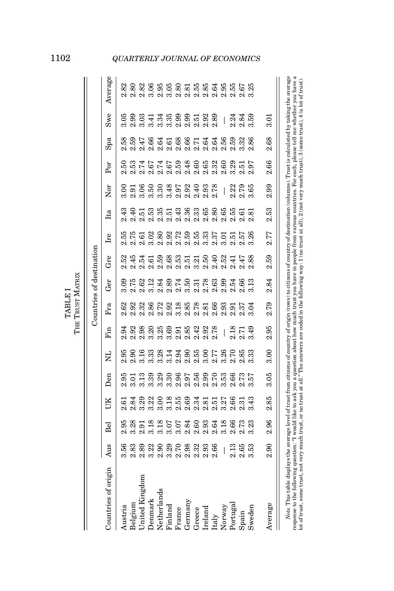|                                                                                                                                                                                                                                                                                                                                                                                                                                                                                                                                                                             |      |      |      |      |      |      |      | Countries of destination |      |      |            |      |      |      |      |         |
|-----------------------------------------------------------------------------------------------------------------------------------------------------------------------------------------------------------------------------------------------------------------------------------------------------------------------------------------------------------------------------------------------------------------------------------------------------------------------------------------------------------------------------------------------------------------------------|------|------|------|------|------|------|------|--------------------------|------|------|------------|------|------|------|------|---------|
| Countries of origin                                                                                                                                                                                                                                                                                                                                                                                                                                                                                                                                                         | Aus  | Bel  | UК   | Den  | Ę    | Ε'n  | Fra  | Ger                      | Gre  | Ire  | Ita        | Nor  | Por  | Spa  | Swe  | Average |
| Austria                                                                                                                                                                                                                                                                                                                                                                                                                                                                                                                                                                     | 3.56 | 2.95 | 2.61 | 2.95 | 2.95 | 2.94 | 2.62 | 3.09                     | 2.52 | 2.55 | 2.43       | 3.00 | rò   | 2.58 | 3.05 | 2.82    |
| Belgium                                                                                                                                                                                                                                                                                                                                                                                                                                                                                                                                                                     | 2.83 | 3.28 | 2.84 | 3.01 | 2.90 | 2.92 | 2.92 | 2.75                     | 2.45 | 2.75 | 2.40       | 2.91 | 2.53 | 2.59 | 2.99 | 2.80    |
| United Kingdom                                                                                                                                                                                                                                                                                                                                                                                                                                                                                                                                                              | 2.89 | 2.91 | 3.29 | 3.13 | 3.16 | 2.98 | 2.32 | 2.62                     | 2.54 | 2.61 | $\ddot{5}$ | 3.06 | 2.74 | 2.47 | 3.03 |         |
| Denmark                                                                                                                                                                                                                                                                                                                                                                                                                                                                                                                                                                     | 3.22 | 3.18 | 3.22 | 3.39 | 3.33 | 3.20 | 2.86 | 3.12                     | 2.61 | 3.02 | 2.53       | 3.50 | 2.67 | 2.66 | 3.41 |         |
| Netherlands                                                                                                                                                                                                                                                                                                                                                                                                                                                                                                                                                                 | 2.90 | 3.18 | 3.00 | 3.29 | 3.28 | 3.25 | 2.72 | 2.84                     | 2.59 | 2.80 | 2.35       | 3.30 | 2.74 | 2.64 | 3.34 |         |
| Finland                                                                                                                                                                                                                                                                                                                                                                                                                                                                                                                                                                     | 3.29 | 3.07 | 3.18 | 3.30 | 3.14 | 3.69 | 2.92 | 2.89                     | 2.68 | 2.92 | 2.51       | 3.48 | 2.67 | 2.61 | 3.35 |         |
| France                                                                                                                                                                                                                                                                                                                                                                                                                                                                                                                                                                      | 2.70 | 3.07 | 2.55 | 2.96 | 2.94 | 2.91 | 3.18 | 2.74                     | 2.53 | 2.72 | 2.43       | 2.97 | 2.59 | 2.68 | 2.99 |         |
| Germany                                                                                                                                                                                                                                                                                                                                                                                                                                                                                                                                                                     | 2.98 | 2.84 | 2.69 | 2.97 | 2.90 | 2.85 | 2.85 | 3.50                     | 2.51 | 2.59 | 2.36       | 2.92 | 2.48 | 2.66 | 2.99 | 2.81    |
| Greece                                                                                                                                                                                                                                                                                                                                                                                                                                                                                                                                                                      | 2.32 | 2.60 | 2.34 | 2.56 | 2.55 | 2.42 | 2.78 | 2.31                     | 3.21 | 2.55 | 2.33       | 2.40 | 2.60 | 2.71 | 2.51 | 2.55    |
| Ireland                                                                                                                                                                                                                                                                                                                                                                                                                                                                                                                                                                     | 2.93 | 2.93 | 2.81 | 2.99 | 3.00 | 2.92 | 2.81 | 2.78                     | 2.50 | 3.33 | 2.65       | 2.93 | 2.65 | 2.64 | 2.92 | 2.85    |
| Italy                                                                                                                                                                                                                                                                                                                                                                                                                                                                                                                                                                       | 2.66 | 2.64 | 2.51 | 2.70 | 2.77 | 2.78 | 2.66 | 2.63                     | 2.40 | 2.37 | 2.80       | 2.78 | 2.32 | 2.64 | 2.89 | 2.64    |
| Norway                                                                                                                                                                                                                                                                                                                                                                                                                                                                                                                                                                      | I    | 3.18 | 3.27 | 3.53 | 3.26 | I    | 2.93 | 2.99                     | 2.52 | 3.01 | 2.65       |      | 2.60 | 2.56 | I    | 2.95    |
| Portugal                                                                                                                                                                                                                                                                                                                                                                                                                                                                                                                                                                    | 2.13 | 2.66 | 2.66 | 2.66 | 2.70 | 2.18 | 2.91 | 2.54                     | 2.41 | 2.51 | 2.55       | 2.22 | 3.29 | 2.59 | 2.24 | 2.55    |
| Spain                                                                                                                                                                                                                                                                                                                                                                                                                                                                                                                                                                       | 2.65 | 2.73 | 2.31 | 2.73 | 2.85 | 2.71 | 2.37 | 2.66                     | 2.47 | 2.57 | 2.61       |      | 2.51 | 3.32 | 2.84 | 2.67    |
| Sweden                                                                                                                                                                                                                                                                                                                                                                                                                                                                                                                                                                      | 3.53 | 3.23 | 3.43 | 3.57 | 333  | 3.49 | 3.04 | 3.13                     | 2.88 | 3.26 | 50         | 3.65 | 55   | 86   | 3.59 | 3.25    |
| Average                                                                                                                                                                                                                                                                                                                                                                                                                                                                                                                                                                     | 2.90 | 2.96 | 2.85 | 3.05 | 3.00 | 2.95 | 2.79 | 2.84                     | 2.59 | 2.77 | 2.53       | 2.99 | 2.66 | 2.68 | 3.01 |         |
| response to the following question: "I would like to ask you a question about how much trust you have in people from various countries. For each, please tell me whether you have a<br><i>Note.</i> This table displays the average level of trust from citizens of country of ovitizens of country of destination (columns). Trust is calculated by taking the average<br>lot of trust, some trust, not very much trust, or no trust at all." The answers are coded in the following way: 1 (no trust at all), 2 (not very much trust), 3 (some trust), 4 (a lot of trust) |      |      |      |      |      |      |      |                          |      |      |            |      |      |      |      |         |

TABLE I THE TRUST MATRIX

# 1102 *QUARTERLY JOURNAL OF ECONOMICS*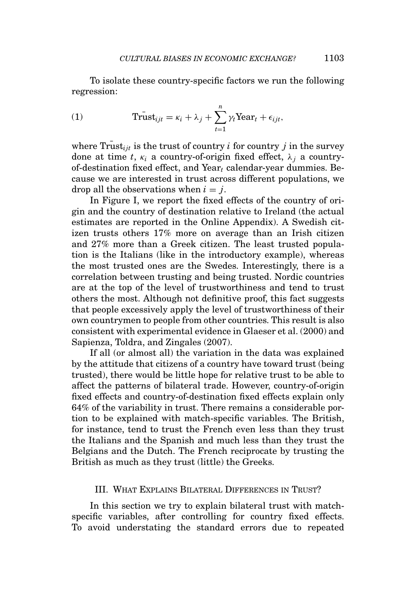To isolate these country-specific factors we run the following regression:

(1) 
$$
\operatorname{Trust}_{ijt} = \kappa_i + \lambda_j + \sum_{t=1}^n \gamma_t \operatorname{Year}_t + \epsilon_{ijt},
$$

where  $Trust_{i i t}$  is the trust of country *i* for country *j* in the survey done at time *t*,  $\kappa_i$  a country-of-origin fixed effect,  $\lambda_j$  a countryof-destination fixed effect, and Year*<sup>t</sup>* calendar-year dummies. Because we are interested in trust across different populations, we drop all the observations when  $i = j$ .

In Figure I, we report the fixed effects of the country of origin and the country of destination relative to Ireland (the actual estimates are reported in the Online Appendix). A Swedish citizen trusts others 17% more on average than an Irish citizen and 27% more than a Greek citizen. The least trusted population is the Italians (like in the introductory example), whereas the most trusted ones are the Swedes. Interestingly, there is a correlation between trusting and being trusted. Nordic countries are at the top of the level of trustworthiness and tend to trust others the most. Although not definitive proof, this fact suggests that people excessively apply the level of trustworthiness of their own countrymen to people from other countries. This result is also consistent with experimental evidence in Glaeser et al. (2000) and Sapienza, Toldra, and Zingales (2007).

If all (or almost all) the variation in the data was explained by the attitude that citizens of a country have toward trust (being trusted), there would be little hope for relative trust to be able to affect the patterns of bilateral trade. However, country-of-origin fixed effects and country-of-destination fixed effects explain only 64% of the variability in trust. There remains a considerable portion to be explained with match-specific variables. The British, for instance, tend to trust the French even less than they trust the Italians and the Spanish and much less than they trust the Belgians and the Dutch. The French reciprocate by trusting the British as much as they trust (little) the Greeks.

## III. WHAT EXPLAINS BILATERAL DIFFERENCES IN TRUST?

In this section we try to explain bilateral trust with matchspecific variables, after controlling for country fixed effects. To avoid understating the standard errors due to repeated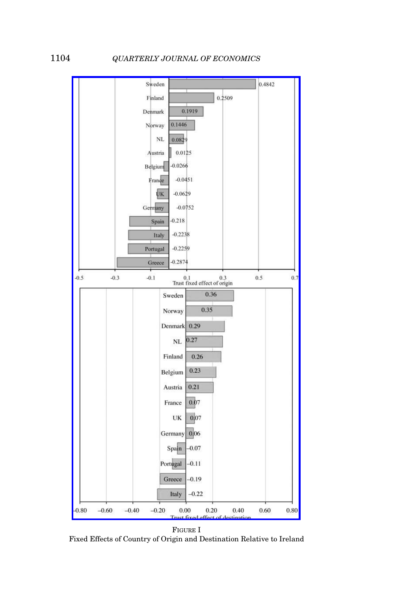

FIGURE I Fixed Effects of Country of Origin and Destination Relative to Ireland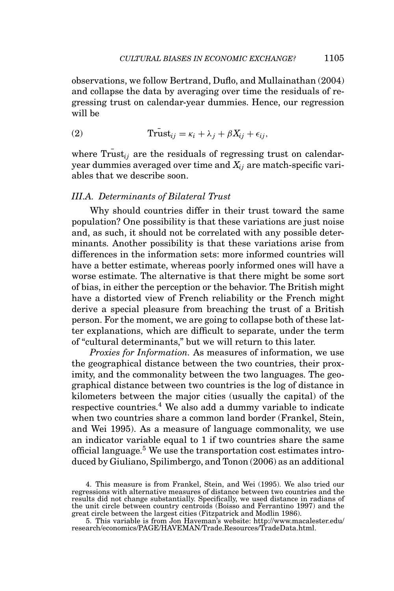observations, we follow Bertrand, Duflo, and Mullainathan (2004) and collapse the data by averaging over time the residuals of regressing trust on calendar-year dummies. Hence, our regression will be

(2) 
$$
\operatorname{Trust}_{ij} = \kappa_i + \lambda_j + \beta X_{ij} + \epsilon_{ij},
$$

where  $Trust_{ii}$  are the residuals of regressing trust on calendaryear dummies averaged over time and  $X_{ij}$  are match-specific variables that we describe soon.

# *III.A. Determinants of Bilateral Trust*

Why should countries differ in their trust toward the same population? One possibility is that these variations are just noise and, as such, it should not be correlated with any possible determinants. Another possibility is that these variations arise from differences in the information sets: more informed countries will have a better estimate, whereas poorly informed ones will have a worse estimate. The alternative is that there might be some sort of bias, in either the perception or the behavior. The British might have a distorted view of French reliability or the French might derive a special pleasure from breaching the trust of a British person. For the moment, we are going to collapse both of these latter explanations, which are difficult to separate, under the term of "cultural determinants," but we will return to this later.

*Proxies for Information.* As measures of information, we use the geographical distance between the two countries, their proximity, and the commonality between the two languages. The geographical distance between two countries is the log of distance in kilometers between the major cities (usually the capital) of the respective countries.<sup>4</sup> We also add a dummy variable to indicate when two countries share a common land border (Frankel, Stein, and Wei 1995). As a measure of language commonality, we use an indicator variable equal to 1 if two countries share the same official language.<sup>5</sup> We use the transportation cost estimates introduced by Giuliano, Spilimbergo, and Tonon (2006) as an additional

<sup>4.</sup> This measure is from Frankel, Stein, and Wei (1995). We also tried our regressions with alternative measures of distance between two countries and the results did not change substantially. Specifically, we used distance in radians of the unit circle between country centroids (Boisso and Ferrantino 1997) and the great circle between the largest cities (Fitzpatrick and Modlin 1986).

<sup>5.</sup> This variable is from Jon Haveman's website: http://www.macalester.edu/ research/economics/PAGE/HAVEMAN/Trade.Resources/TradeData.html.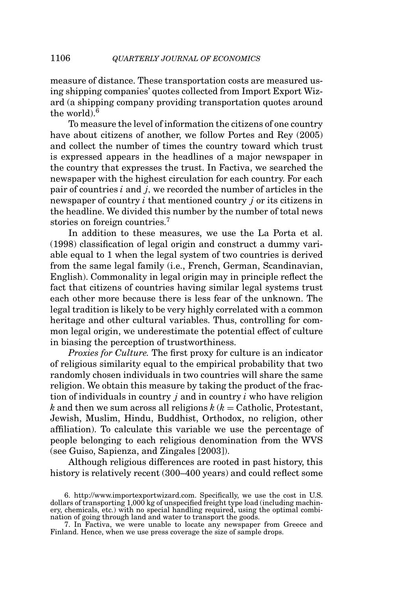measure of distance. These transportation costs are measured using shipping companies' quotes collected from Import Export Wizard (a shipping company providing transportation quotes around the world). $6$ 

To measure the level of information the citizens of one country have about citizens of another, we follow Portes and Rey (2005) and collect the number of times the country toward which trust is expressed appears in the headlines of a major newspaper in the country that expresses the trust. In Factiva, we searched the newspaper with the highest circulation for each country. For each pair of countries *i* and *j*, we recorded the number of articles in the newspaper of country *i* that mentioned country *j* or its citizens in the headline. We divided this number by the number of total news stories on foreign countries.<sup>7</sup>

In addition to these measures, we use the La Porta et al. (1998) classification of legal origin and construct a dummy variable equal to 1 when the legal system of two countries is derived from the same legal family (i.e., French, German, Scandinavian, English). Commonality in legal origin may in principle reflect the fact that citizens of countries having similar legal systems trust each other more because there is less fear of the unknown. The legal tradition is likely to be very highly correlated with a common heritage and other cultural variables. Thus, controlling for common legal origin, we underestimate the potential effect of culture in biasing the perception of trustworthiness.

*Proxies for Culture.* The first proxy for culture is an indicator of religious similarity equal to the empirical probability that two randomly chosen individuals in two countries will share the same religion. We obtain this measure by taking the product of the fraction of individuals in country *j* and in country *i* who have religion  $k$  and then we sum across all religions  $k$  ( $k =$  Catholic, Protestant, Jewish, Muslim, Hindu, Buddhist, Orthodox, no religion, other affiliation). To calculate this variable we use the percentage of people belonging to each religious denomination from the WVS (see Guiso, Sapienza, and Zingales [2003]).

Although religious differences are rooted in past history, this history is relatively recent (300–400 years) and could reflect some

<sup>6.</sup> http://www.importexportwizard.com. Specifically, we use the cost in U.S. dollars of transporting 1,000 kg of unspecified freight type load (including machinery, chemicals, etc.) with no special handling required, using the optimal combination of going through land and water to transport the goods.

<sup>7.</sup> In Factiva, we were unable to locate any newspaper from Greece and Finland. Hence, when we use press coverage the size of sample drops.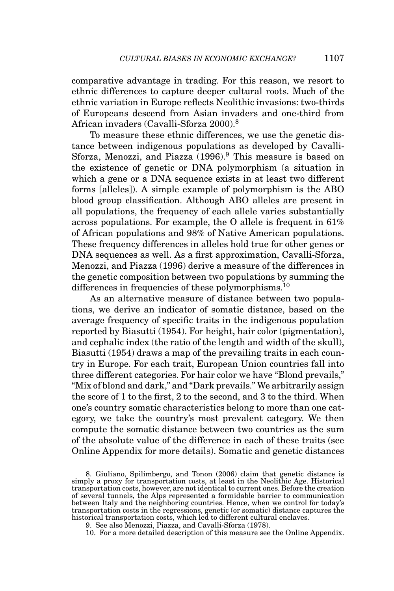comparative advantage in trading. For this reason, we resort to ethnic differences to capture deeper cultural roots. Much of the ethnic variation in Europe reflects Neolithic invasions: two-thirds of Europeans descend from Asian invaders and one-third from African invaders (Cavalli-Sforza 2000).<sup>8</sup>

To measure these ethnic differences, we use the genetic distance between indigenous populations as developed by Cavalli-Sforza, Menozzi, and Piazza  $(1996)^9$ . This measure is based on the existence of genetic or DNA polymorphism (a situation in which a gene or a DNA sequence exists in at least two different forms [alleles]). A simple example of polymorphism is the ABO blood group classification. Although ABO alleles are present in all populations, the frequency of each allele varies substantially across populations. For example, the O allele is frequent in 61% of African populations and 98% of Native American populations. These frequency differences in alleles hold true for other genes or DNA sequences as well. As a first approximation, Cavalli-Sforza, Menozzi, and Piazza (1996) derive a measure of the differences in the genetic composition between two populations by summing the differences in frequencies of these polymorphisms.<sup>10</sup>

As an alternative measure of distance between two populations, we derive an indicator of somatic distance, based on the average frequency of specific traits in the indigenous population reported by Biasutti (1954). For height, hair color (pigmentation), and cephalic index (the ratio of the length and width of the skull), Biasutti (1954) draws a map of the prevailing traits in each country in Europe. For each trait, European Union countries fall into three different categories. For hair color we have "Blond prevails," "Mix of blond and dark," and "Dark prevails." We arbitrarily assign the score of 1 to the first, 2 to the second, and 3 to the third. When one's country somatic characteristics belong to more than one category, we take the country's most prevalent category. We then compute the somatic distance between two countries as the sum of the absolute value of the difference in each of these traits (see Online Appendix for more details). Somatic and genetic distances

9. See also Menozzi, Piazza, and Cavalli-Sforza (1978).

10. For a more detailed description of this measure see the Online Appendix.

<sup>8.</sup> Giuliano, Spilimbergo, and Tonon (2006) claim that genetic distance is simply a proxy for transportation costs, at least in the Neolithic Age. Historical transportation costs, however, are not identical to current ones. Before the creation of several tunnels, the Alps represented a formidable barrier to communication between Italy and the neighboring countries. Hence, when we control for today's transportation costs in the regressions, genetic (or somatic) distance captures the historical transportation costs, which led to different cultural enclaves.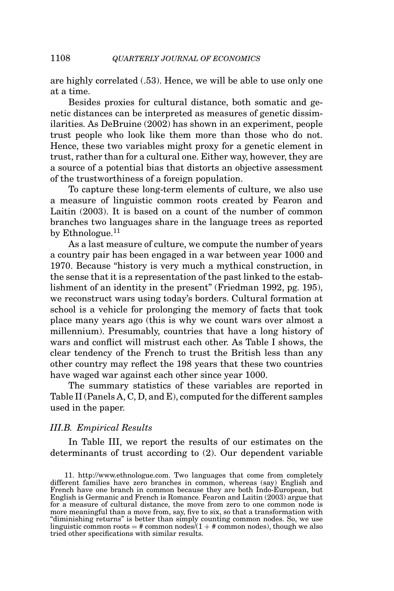are highly correlated (.53). Hence, we will be able to use only one at a time.

Besides proxies for cultural distance, both somatic and genetic distances can be interpreted as measures of genetic dissimilarities. As DeBruine (2002) has shown in an experiment, people trust people who look like them more than those who do not. Hence, these two variables might proxy for a genetic element in trust, rather than for a cultural one. Either way, however, they are a source of a potential bias that distorts an objective assessment of the trustworthiness of a foreign population.

To capture these long-term elements of culture, we also use a measure of linguistic common roots created by Fearon and Laitin (2003). It is based on a count of the number of common branches two languages share in the language trees as reported by Ethnologue.<sup>11</sup>

As a last measure of culture, we compute the number of years a country pair has been engaged in a war between year 1000 and 1970. Because "history is very much a mythical construction, in the sense that it is a representation of the past linked to the establishment of an identity in the present" (Friedman 1992, pg. 195), we reconstruct wars using today's borders. Cultural formation at school is a vehicle for prolonging the memory of facts that took place many years ago (this is why we count wars over almost a millennium). Presumably, countries that have a long history of wars and conflict will mistrust each other. As Table I shows, the clear tendency of the French to trust the British less than any other country may reflect the 198 years that these two countries have waged war against each other since year 1000.

The summary statistics of these variables are reported in Table II (Panels A, C, D, and E), computed for the different samples used in the paper.

## *III.B. Empirical Results*

In Table III, we report the results of our estimates on the determinants of trust according to (2). Our dependent variable

<sup>11.</sup> http://www.ethnologue.com. Two languages that come from completely different families have zero branches in common, whereas (say) English and French have one branch in common because they are both Indo-European, but English is Germanic and French is Romance. Fearon and Laitin (2003) argue that for a measure of cultural distance, the move from zero to one common node is more meaningful than a move from, say, five to six, so that a transformation with "diminishing returns" is better than simply counting common nodes. So, we use linguistic common roots = # common nodes/(1 + # common nodes), though we also tried other specifications with similar results.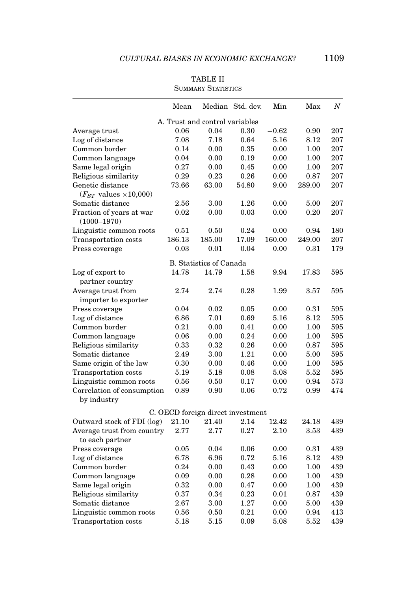|                                             | Mean   |                                   | Median Std. dev. | Min     | Max    | $_{N}$ |
|---------------------------------------------|--------|-----------------------------------|------------------|---------|--------|--------|
|                                             |        | A. Trust and control variables    |                  |         |        |        |
| Average trust                               | 0.06   | 0.04                              | 0.30             | $-0.62$ | 0.90   | 207    |
| Log of distance                             | 7.08   | 7.18                              | 0.64             | 5.16    | 8.12   | 207    |
| Common border                               | 0.14   | 0.00                              | 0.35             | 0.00    | 1.00   | 207    |
| Common language                             | 0.04   | 0.00                              | 0.19             | 0.00    | 1.00   | 207    |
| Same legal origin                           | 0.27   | 0.00                              | 0.45             | 0.00    | 1.00   | 207    |
| Religious similarity                        | 0.29   | 0.23                              | 0.26             | 0.00    | 0.87   | 207    |
| Genetic distance                            | 73.66  | 63.00                             | 54.80            | 9.00    | 289.00 | 207    |
| $(F_{ST}$ values $\times$ 10,000)           |        |                                   |                  |         |        |        |
| Somatic distance                            | 2.56   | 3.00                              | 1.26             | 0.00    | 5.00   | 207    |
| Fraction of years at war<br>$(1000 - 1970)$ | 0.02   | 0.00                              | 0.03             | 0.00    | 0.20   | 207    |
| Linguistic common roots                     | 0.51   | 0.50                              | 0.24             | 0.00    | 0.94   | 180    |
| Transportation costs                        | 186.13 | 185.00                            | 17.09            | 160.00  | 249.00 | 207    |
| Press coverage                              | 0.03   | 0.01                              | 0.04             | 0.00    | 0.31   | 179    |
|                                             |        | <b>B.</b> Statistics of Canada    |                  |         |        |        |
| Log of export to                            | 14.78  | 14.79                             | 1.58             | 9.94    | 17.83  | 595    |
| partner country                             |        |                                   |                  |         |        |        |
| Average trust from                          | 2.74   | 2.74                              | 0.28             | 1.99    | 3.57   | 595    |
| importer to exporter                        |        |                                   |                  |         |        |        |
| Press coverage                              | 0.04   | 0.02                              | 0.05             | 0.00    | 0.31   | 595    |
| Log of distance                             | 6.86   | 7.01                              | 0.69             | 5.16    | 8.12   | 595    |
| Common border                               | 0.21   | 0.00                              | 0.41             | 0.00    | 1.00   | 595    |
| Common language                             | 0.06   | 0.00                              | 0.24             | 0.00    | 1.00   | 595    |
| Religious similarity                        | 0.33   | 0.32                              | 0.26             | 0.00    | 0.87   | 595    |
| Somatic distance                            | 2.49   | 3.00                              | 1.21             | 0.00    | 5.00   | 595    |
| Same origin of the law                      | 0.30   | 0.00                              | 0.46             | 0.00    | 1.00   | 595    |
| Transportation costs                        | 5.19   | 5.18                              | 0.08             | 5.08    | 5.52   | 595    |
| Linguistic common roots                     | 0.56   | 0.50                              | 0.17             | 0.00    | 0.94   | 573    |
| Correlation of consumption                  | 0.89   | 0.90                              | 0.06             | 0.72    | 0.99   | 474    |
| by industry                                 |        |                                   |                  |         |        |        |
|                                             |        | C. OECD foreign direct investment |                  |         |        |        |
| Outward stock of FDI (log)                  | 21.10  | 21.40                             | 2.14             | 12.42   | 24.18  | 439    |
| Average trust from country                  | 2.77   | 2.77                              | 0.27             | 2.10    | 3.53   | 439    |
| to each partner                             |        |                                   |                  |         |        |        |
| Press coverage                              | 0.05   | 0.04                              | 0.06             | 0.00    | 0.31   | 439    |
| Log of distance                             | 6.78   | 6.96                              | 0.72             | 5.16    | 8.12   | 439    |
| Common border                               | 0.24   | 0.00                              | 0.43             | 0.00    | 1.00   | 439    |
| Common language                             | 0.09   | 0.00                              | 0.28             | 0.00    | 1.00   | 439    |
| Same legal origin                           | 0.32   | 0.00                              | 0.47             | 0.00    | 1.00   | 439    |
| Religious similarity                        | 0.37   | 0.34                              | 0.23             | 0.01    | 0.87   | 439    |
| Somatic distance                            | 2.67   | 3.00                              | 1.27             | 0.00    | 5.00   | 439    |
| Linguistic common roots                     | 0.56   | 0.50                              | 0.21             | 0.00    | 0.94   | 413    |
| Transportation costs                        | 5.18   | 5.15                              | 0.09             | 5.08    | 5.52   | 439    |

TABLE II SUMMARY STATISTICS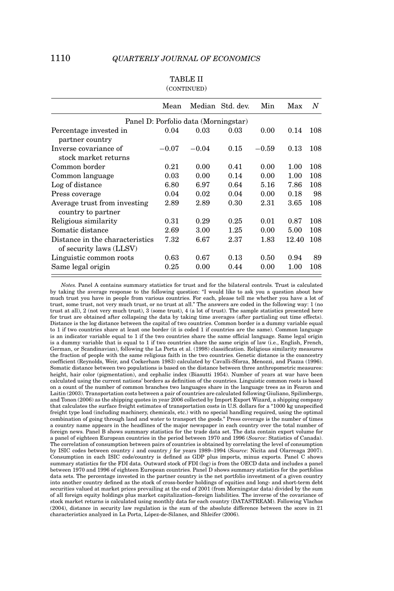|                                                            | Mean    |                                      | Median Std. dev. | Min     | Max   | N   |
|------------------------------------------------------------|---------|--------------------------------------|------------------|---------|-------|-----|
|                                                            |         | Panel D: Porfolio data (Morningstar) |                  |         |       |     |
| Percentage invested in<br>partner country                  | 0.04    | 0.03                                 | 0.03             | 0.00    | 0.14  | 108 |
| Inverse covariance of<br>stock market returns              | $-0.07$ | $-0.04$                              | 0.15             | $-0.59$ | 0.13  | 108 |
| Common border                                              | 0.21    | 0.00                                 | 0.41             | 0.00    | 1.00  | 108 |
| Common language                                            | 0.03    | 0.00                                 | 0.14             | 0.00    | 1.00  | 108 |
| Log of distance                                            | 6.80    | 6.97                                 | 0.64             | 5.16    | 7.86  | 108 |
| Press coverage                                             | 0.04    | 0.02                                 | 0.04             | 0.00    | 0.18  | 98  |
| Average trust from investing<br>country to partner         | 2.89    | 2.89                                 | 0.30             | 2.31    | 3.65  | 108 |
| Religious similarity                                       | 0.31    | 0.29                                 | 0.25             | 0.01    | 0.87  | 108 |
| Somatic distance                                           | 2.69    | 3.00                                 | 1.25             | 0.00    | 5.00  | 108 |
| Distance in the characteristics<br>of security laws (LLSV) | 7.32    | 6.67                                 | 2.37             | 1.83    | 12.40 | 108 |
| Linguistic common roots                                    | 0.63    | 0.67                                 | 0.13             | 0.50    | 0.94  | 89  |
| Same legal origin                                          | 0.25    | 0.00                                 | 0.44             | 0.00    | 1.00  | 108 |

| TABLE II    |  |
|-------------|--|
| (CONTINUED) |  |

*Notes.* Panel A contains summary statistics for trust and for the bilateral controls. Trust is calculated by taking the average response to the following question: "I would like to ask you a question about how much trust you have in people from various countries. For each, please tell me whether you have a lot of trust, some trust, not very much trust, or no trust at all." The answers are coded in the following way: 1 (no trust at all), 2 (not very much trust), 3 (some trust), 4 (a lot of trust). The sample statistics presented here for trust are obtained after collapsing the data by taking time averages (after partialing out time effects). Distance is the log distance between the capital of two countries. Common border is a dummy variable equal to 1 if two countries share at least one border (it is coded 1 if countries are the same). Common language is an indicator variable equal to 1 if the two countries share the same official language. Same legal origin is a dummy variable that is equal to 1 if two countries share the same origin of law (i.e., English, French, German, or Scandinavian), following the La Porta et al. (1998) classification. Religious similarity measures the fraction of people with the same religious faith in the two countries. Genetic distance is the coancestry coefficient (Reynolds, Weir, and Cockerham 1983) calculated by Cavalli-Sforza, Menozzi, and Piazza (1996). Somatic distance between two populations is based on the distance between three anthropometric measures: height, hair color (pigmentation), and cephalic index (Biasutti 1954). Number of years at war have been calculated using the current nations' borders as definition of the countries. Linguistic common roots is based on a count of the number of common branches two languages share in the language trees as in Fearon and Laitin (2003). Transportation costs between a pair of countries are calculated following Giuliano, Spilimbergo, and Tonon (2006) as the shipping quotes in year 2006 collected by Import Export Wizard, a shipping company that calculates the surface freight estimates of transportation costs in U.S. dollars for a "1000 kg unspecified freight type load (including machinery, chemicals, etc.) with no special handling required, using the optimal combination of going through land and water to transport the goods." Press coverage is the number of times a country name appears in the headlines of the major newspaper in each country over the total number of foreign news. Panel B shows summary statistics for the trade data set. The data contain export volume for a panel of eighteen European countries in the period between 1970 and 1996 (*Source*: Statistics of Canada). The correlation of consumption between pairs of countries is obtained by correlating the level of consumption by ISIC codes between country *i* and country *j* for years 1989–1994 (*Source*: Nicita and Olarreaga 2007). Consumption in each ISIC code/country is defined as GDP plus imports, minus exports. Panel C shows summary statistics for the FDI data. Outward stock of FDI (log) is from the OECD data and includes a panel between 1970 and 1996 of eighteen European countries. Panel D shows summary statistics for the portfolios data sets. The percentage invested in the partner country is the net portfolio investment of a given country into another country defined as the stock of cross-border holdings of equities and long- and short-term debt securities valued at market prices prevailing at the end of 2001 (from Morningstar data) divided by the sum of all foreign equity holdings plus market capitalization–foreign liabilities. The inverse of the covariance of stock market returns is calculated using monthly data for each country (DATASTREAM). Following Vlachos (2004), distance in security law regulation is the sum of the absolute difference between the score in 21 characteristics analyzed in La Porta, López-de-Silanes, and Shleifer (2006).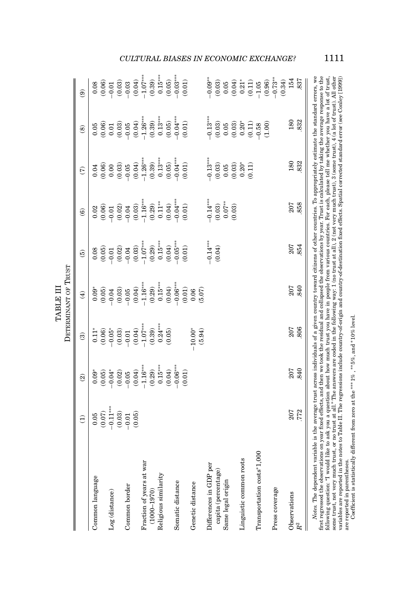|                                                                                                                                                                                                                                                                                                                                                |                      |                                                 |                         | DETERMINANT OF TRUST                            |                                          |                                                                                                      |                                                                           |                                                                                                       |                                                                                                                                                                                                                                                                                                                                 |
|------------------------------------------------------------------------------------------------------------------------------------------------------------------------------------------------------------------------------------------------------------------------------------------------------------------------------------------------|----------------------|-------------------------------------------------|-------------------------|-------------------------------------------------|------------------------------------------|------------------------------------------------------------------------------------------------------|---------------------------------------------------------------------------|-------------------------------------------------------------------------------------------------------|---------------------------------------------------------------------------------------------------------------------------------------------------------------------------------------------------------------------------------------------------------------------------------------------------------------------------------|
|                                                                                                                                                                                                                                                                                                                                                | $\ominus$            | $\widehat{\mathfrak{D}}$                        | $\widehat{\mathcal{E}}$ | $\bigoplus$                                     | $\widehat{5}$                            | $\widehat{\mathbf{6}}$                                                                               | $\widehat{c}$                                                             | $\circledast$                                                                                         | $\widehat{\mathbf{e}}$                                                                                                                                                                                                                                                                                                          |
| Common language                                                                                                                                                                                                                                                                                                                                | 0.05                 | 0.09                                            | $\overline{0.11}^*$     | 0.09                                            | 0.08                                     | 0.02                                                                                                 | 0.04                                                                      | 0.05                                                                                                  | 0.08                                                                                                                                                                                                                                                                                                                            |
|                                                                                                                                                                                                                                                                                                                                                | $(0.07)$<br>-0.11*** | (0.05)                                          | (0.06)                  | (0.05)                                          |                                          | (0.06)                                                                                               | (0.06)                                                                    |                                                                                                       |                                                                                                                                                                                                                                                                                                                                 |
| Log (distance)                                                                                                                                                                                                                                                                                                                                 |                      | $-0.04*$                                        | $-0.05*$                | $-0.04$                                         |                                          | $-0.01$                                                                                              |                                                                           |                                                                                                       |                                                                                                                                                                                                                                                                                                                                 |
|                                                                                                                                                                                                                                                                                                                                                |                      | (0.02)                                          |                         | (0.03)                                          |                                          |                                                                                                      |                                                                           |                                                                                                       |                                                                                                                                                                                                                                                                                                                                 |
| Common border                                                                                                                                                                                                                                                                                                                                  | (0.03)               | $-0.05$                                         | (0.03)                  |                                                 | $(0.05)$<br>$0.02$<br>$-0.03$<br>$-0.04$ | (0.02)                                                                                               | $\begin{array}{c} 0.00 \\ 0.03 \end{array}$                               | $\begin{array}{c} (0.06) \\ 0.01 \\ 0.03 \\ -0.05 \end{array}$                                        | $\begin{array}{l} (0.066)\\[-4pt] (-0.010)\\[-4pt] (-0.030)\\[-4pt] (-0.030)\\[-4pt] (-0.030)\\[-4pt] (-0.030)\\[-4pt] (-0.030)\\[-4pt] (-0.030)\\[-4pt] (-0.030)\\[-4pt] (-0.030)\\[-4pt] (-0.030)\\[-4pt] (-0.030)\\[-4pt] (-0.030)\\[-4pt] (-0.030)\\[-4pt] (-0.030)\\[-4pt] (-0.030)\\[-4pt] (-0.030)\\[-4pt] (-0.030)\\[-$ |
|                                                                                                                                                                                                                                                                                                                                                | (0.05)               | $(0.04)$<br>-1.16***                            | $(0.04)$<br>-1.07***    | $(0.04)$<br>-1.16***                            | $(0.03)$<br>-1.07***                     |                                                                                                      |                                                                           |                                                                                                       |                                                                                                                                                                                                                                                                                                                                 |
| Fraction of years at war                                                                                                                                                                                                                                                                                                                       |                      |                                                 |                         |                                                 |                                          |                                                                                                      |                                                                           |                                                                                                       |                                                                                                                                                                                                                                                                                                                                 |
| $(1000 - 1970)$                                                                                                                                                                                                                                                                                                                                |                      |                                                 | (0.39)                  |                                                 | (0.29)                                   |                                                                                                      |                                                                           |                                                                                                       |                                                                                                                                                                                                                                                                                                                                 |
| Religious similarity                                                                                                                                                                                                                                                                                                                           |                      |                                                 | $0.24***$<br>(0.05)     |                                                 |                                          |                                                                                                      |                                                                           |                                                                                                       |                                                                                                                                                                                                                                                                                                                                 |
|                                                                                                                                                                                                                                                                                                                                                |                      | $(0.29)$<br>$0.15***$<br>$(0.04)$<br>$-0.06***$ |                         | $(0.29)$<br>$0.15***$<br>$(0.04)$<br>$-0.06***$ | $0.15***$<br>$(0.04)$<br>$-0.05***$      | $\begin{array}{c} (0.03) \\ -1.16^{***} \\ (0.29) \\ 0.11^{**} \\ (0.04) \\ -0.04^{***} \end{array}$ | $(0.04)$<br>$-1.26***$<br>$(0.39)$<br>$0.13***$<br>$(0.05)$<br>$-0.04***$ | $\begin{array}{r} (0.04) \\ -1.26^{***} \\ (0.39) \\ 0.13^{***} \\ (0.05) \\ -0.04^{***} \end{array}$ |                                                                                                                                                                                                                                                                                                                                 |
| Somatic distance                                                                                                                                                                                                                                                                                                                               |                      |                                                 |                         |                                                 |                                          |                                                                                                      |                                                                           |                                                                                                       |                                                                                                                                                                                                                                                                                                                                 |
|                                                                                                                                                                                                                                                                                                                                                |                      | (0.01)                                          |                         | $(0.01)$                                        | (0.01)                                   | $(0.01)$                                                                                             | (0.01)                                                                    | (0.01)                                                                                                | $(0.01)$                                                                                                                                                                                                                                                                                                                        |
| Genetic distance                                                                                                                                                                                                                                                                                                                               |                      |                                                 | $10.00*$<br>(5.94)      | (5.07)<br>0.06                                  |                                          |                                                                                                      |                                                                           |                                                                                                       |                                                                                                                                                                                                                                                                                                                                 |
| Differences in GDP per                                                                                                                                                                                                                                                                                                                         |                      |                                                 |                         |                                                 | $-0.14***$                               | $-0.14***$                                                                                           | $-0.13***$                                                                | $-0.13***$                                                                                            | $-0.09***$                                                                                                                                                                                                                                                                                                                      |
| capita (percentage)                                                                                                                                                                                                                                                                                                                            |                      |                                                 |                         |                                                 | (0.04)                                   | (0.03)                                                                                               | (0.03)                                                                    | (0.03)                                                                                                |                                                                                                                                                                                                                                                                                                                                 |
| Same legal origin                                                                                                                                                                                                                                                                                                                              |                      |                                                 |                         |                                                 |                                          | $0.07***$                                                                                            | $0.05\,$                                                                  | 0.05                                                                                                  |                                                                                                                                                                                                                                                                                                                                 |
|                                                                                                                                                                                                                                                                                                                                                |                      |                                                 |                         |                                                 |                                          | (0.03)                                                                                               | (0.03)                                                                    | (0.03)                                                                                                | $\begin{array}{c} (0.03) \\ 0.05 \\ (0.04) \\ (0.11) \\ (0.11) \\ -1.05 \end{array}$                                                                                                                                                                                                                                            |
| Linguistic common roots                                                                                                                                                                                                                                                                                                                        |                      |                                                 |                         |                                                 |                                          |                                                                                                      | $0.20*$                                                                   | $0.20*$                                                                                               |                                                                                                                                                                                                                                                                                                                                 |
|                                                                                                                                                                                                                                                                                                                                                |                      |                                                 |                         |                                                 |                                          |                                                                                                      | (0.11)                                                                    | (0.11)                                                                                                |                                                                                                                                                                                                                                                                                                                                 |
| Transportation costs*1,000                                                                                                                                                                                                                                                                                                                     |                      |                                                 |                         |                                                 |                                          |                                                                                                      |                                                                           | $-0.58$                                                                                               |                                                                                                                                                                                                                                                                                                                                 |
|                                                                                                                                                                                                                                                                                                                                                |                      |                                                 |                         |                                                 |                                          |                                                                                                      |                                                                           | (1.00)                                                                                                | (0.96)                                                                                                                                                                                                                                                                                                                          |
| Press coverage                                                                                                                                                                                                                                                                                                                                 |                      |                                                 |                         |                                                 |                                          |                                                                                                      |                                                                           |                                                                                                       | $-0.73**$                                                                                                                                                                                                                                                                                                                       |
|                                                                                                                                                                                                                                                                                                                                                |                      |                                                 |                         |                                                 |                                          |                                                                                                      |                                                                           |                                                                                                       | (0.34)                                                                                                                                                                                                                                                                                                                          |
| Observations                                                                                                                                                                                                                                                                                                                                   | 207                  | 207                                             | 207                     | 207                                             | 207                                      | 207                                                                                                  | 180                                                                       | 180                                                                                                   | 154                                                                                                                                                                                                                                                                                                                             |
| $R^2$                                                                                                                                                                                                                                                                                                                                          | 772                  | 840                                             | 806                     | 840                                             | 854                                      | 858                                                                                                  | 832                                                                       | 832                                                                                                   | 837                                                                                                                                                                                                                                                                                                                             |
| Notes. The dependent variable is the average trust across individuals of a given country toward citizens of other countries. To appropriately estimate the standard errors, we<br>first nomination come first and profession and the most different and the complete the complete of the contract is an included in the theorem connect to the |                      |                                                 |                         |                                                 |                                          |                                                                                                      |                                                                           |                                                                                                       |                                                                                                                                                                                                                                                                                                                                 |

TABLE III

TABLE III

*CULTURAL BIASES IN ECONOMIC EXCHANGE?* 1111

first regressed the observations on year fixed effects, and then we took the residual and collapsed the observations by year. Trust is calculated by taking the average response to the some trust, not very much rust, or no first regressed the observations on year fixed effects, and then we took the residual and collapsed the observations by year. Trust is calculated by taking the average response to the following question: "I would like to ask you a question about how much trust you have in people from various countries. For each, please tell me whether you have a lot of trust, some trust, not very much trust, or no trust at all." The answers are coded in the following way: 1 (no trust all), 2 (not very much trust), 3 (some trust), 4 (a lot of trust). All other variables are reported in the notes to Table II. The regressions include country-of-origin and country-of-destination fixed effects. Spatial corrected standard error (see Conley [1999]) are reported in parentheses.

Coefficient is statistically different from zero at the ∗∗∗1% , ∗∗5%, and ∗10% level.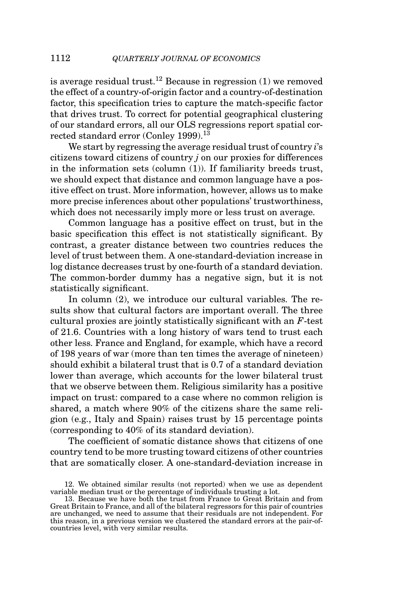is average residual trust.<sup>12</sup> Because in regression  $(1)$  we removed the effect of a country-of-origin factor and a country-of-destination factor, this specification tries to capture the match-specific factor that drives trust. To correct for potential geographical clustering of our standard errors, all our OLS regressions report spatial corrected standard error (Conley 1999).<sup>13</sup>

We start by regressing the average residual trust of country *i*'s citizens toward citizens of country *j* on our proxies for differences in the information sets (column (1)). If familiarity breeds trust, we should expect that distance and common language have a positive effect on trust. More information, however, allows us to make more precise inferences about other populations' trustworthiness, which does not necessarily imply more or less trust on average.

Common language has a positive effect on trust, but in the basic specification this effect is not statistically significant. By contrast, a greater distance between two countries reduces the level of trust between them. A one-standard-deviation increase in log distance decreases trust by one-fourth of a standard deviation. The common-border dummy has a negative sign, but it is not statistically significant.

In column (2), we introduce our cultural variables. The results show that cultural factors are important overall. The three cultural proxies are jointly statistically significant with an *F*-test of 21.6. Countries with a long history of wars tend to trust each other less. France and England, for example, which have a record of 198 years of war (more than ten times the average of nineteen) should exhibit a bilateral trust that is 0.7 of a standard deviation lower than average, which accounts for the lower bilateral trust that we observe between them. Religious similarity has a positive impact on trust: compared to a case where no common religion is shared, a match where 90% of the citizens share the same religion (e.g., Italy and Spain) raises trust by 15 percentage points (corresponding to 40% of its standard deviation).

The coefficient of somatic distance shows that citizens of one country tend to be more trusting toward citizens of other countries that are somatically closer. A one-standard-deviation increase in

<sup>12.</sup> We obtained similar results (not reported) when we use as dependent variable median trust or the percentage of individuals trusting a lot.

<sup>13.</sup> Because we have both the trust from France to Great Britain and from Great Britain to France, and all of the bilateral regressors for this pair of countries are unchanged, we need to assume that their residuals are not independent. For this reason, in a previous version we clustered the standard errors at the pair-ofcountries level, with very similar results.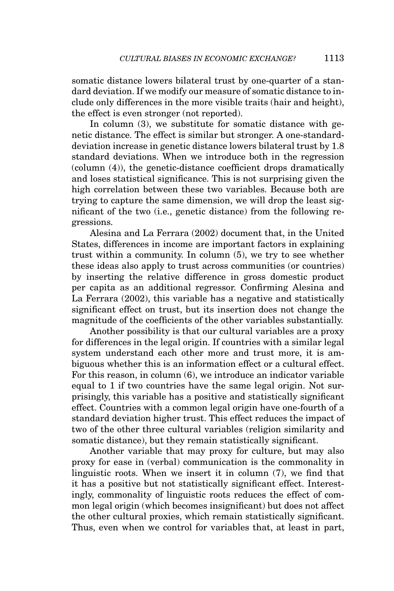somatic distance lowers bilateral trust by one-quarter of a standard deviation. If we modify our measure of somatic distance to include only differences in the more visible traits (hair and height), the effect is even stronger (not reported).

In column (3), we substitute for somatic distance with genetic distance. The effect is similar but stronger. A one-standarddeviation increase in genetic distance lowers bilateral trust by 1.8 standard deviations. When we introduce both in the regression (column (4)), the genetic-distance coefficient drops dramatically and loses statistical significance. This is not surprising given the high correlation between these two variables. Because both are trying to capture the same dimension, we will drop the least significant of the two (i.e., genetic distance) from the following regressions.

Alesina and La Ferrara (2002) document that, in the United States, differences in income are important factors in explaining trust within a community. In column (5), we try to see whether these ideas also apply to trust across communities (or countries) by inserting the relative difference in gross domestic product per capita as an additional regressor. Confirming Alesina and La Ferrara (2002), this variable has a negative and statistically significant effect on trust, but its insertion does not change the magnitude of the coefficients of the other variables substantially.

Another possibility is that our cultural variables are a proxy for differences in the legal origin. If countries with a similar legal system understand each other more and trust more, it is ambiguous whether this is an information effect or a cultural effect. For this reason, in column (6), we introduce an indicator variable equal to 1 if two countries have the same legal origin. Not surprisingly, this variable has a positive and statistically significant effect. Countries with a common legal origin have one-fourth of a standard deviation higher trust. This effect reduces the impact of two of the other three cultural variables (religion similarity and somatic distance), but they remain statistically significant.

Another variable that may proxy for culture, but may also proxy for ease in (verbal) communication is the commonality in linguistic roots. When we insert it in column (7), we find that it has a positive but not statistically significant effect. Interestingly, commonality of linguistic roots reduces the effect of common legal origin (which becomes insignificant) but does not affect the other cultural proxies, which remain statistically significant. Thus, even when we control for variables that, at least in part,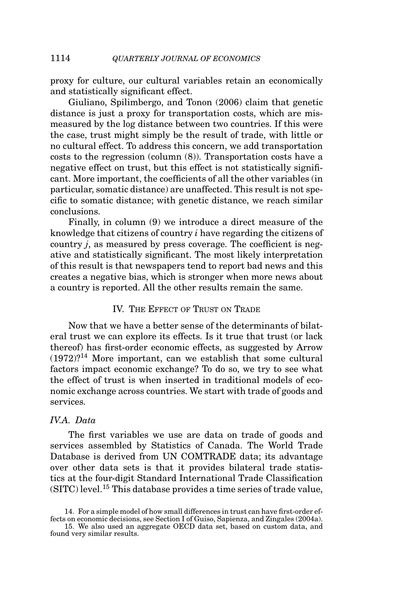proxy for culture, our cultural variables retain an economically and statistically significant effect.

Giuliano, Spilimbergo, and Tonon (2006) claim that genetic distance is just a proxy for transportation costs, which are mismeasured by the log distance between two countries. If this were the case, trust might simply be the result of trade, with little or no cultural effect. To address this concern, we add transportation costs to the regression (column (8)). Transportation costs have a negative effect on trust, but this effect is not statistically significant. More important, the coefficients of all the other variables (in particular, somatic distance) are unaffected. This result is not specific to somatic distance; with genetic distance, we reach similar conclusions.

Finally, in column (9) we introduce a direct measure of the knowledge that citizens of country *i* have regarding the citizens of country *j*, as measured by press coverage. The coefficient is negative and statistically significant. The most likely interpretation of this result is that newspapers tend to report bad news and this creates a negative bias, which is stronger when more news about a country is reported. All the other results remain the same.

# IV. THE EFFECT OF TRUST ON TRADE

Now that we have a better sense of the determinants of bilateral trust we can explore its effects. Is it true that trust (or lack thereof) has first-order economic effects, as suggested by Arrow  $(1972)$ ?<sup>14</sup> More important, can we establish that some cultural factors impact economic exchange? To do so, we try to see what the effect of trust is when inserted in traditional models of economic exchange across countries. We start with trade of goods and services.

## *IV.A. Data*

The first variables we use are data on trade of goods and services assembled by Statistics of Canada. The World Trade Database is derived from UN COMTRADE data; its advantage over other data sets is that it provides bilateral trade statistics at the four-digit Standard International Trade Classification (SITC) level.<sup>15</sup> This database provides a time series of trade value,

<sup>14.</sup> For a simple model of how small differences in trust can have first-order effects on economic decisions, see Section I of Guiso, Sapienza, and Zingales (2004a).

<sup>15.</sup> We also used an aggregate OECD data set, based on custom data, and found very similar results.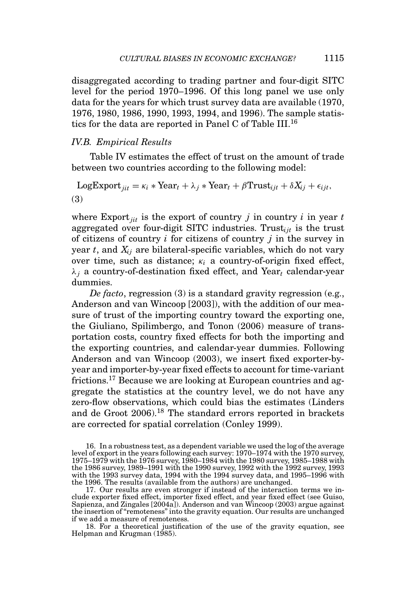disaggregated according to trading partner and four-digit SITC level for the period 1970–1996. Of this long panel we use only data for the years for which trust survey data are available (1970, 1976, 1980, 1986, 1990, 1993, 1994, and 1996). The sample statistics for the data are reported in Panel C of Table III.16

## *IV.B. Empirical Results*

Table IV estimates the effect of trust on the amount of trade between two countries according to the following model:

LogExport<sub>*iit*</sub> =  $\kappa_i * \text{Year}_t + \lambda_j * \text{Year}_t + \beta \text{Trust}_{ijt} + \delta X_{ij} + \epsilon_{ijt}$ , (3)

where Export<sub>*iit*</sub> is the export of country *j* in country *i* in year *t* aggregated over four-digit SITC industries. Trust*ijt* is the trust of citizens of country *i* for citizens of country *j* in the survey in year  $t$ , and  $X_{ij}$  are bilateral-specific variables, which do not vary over time, such as distance; κ*<sup>i</sup>* a country-of-origin fixed effect, λ*<sup>j</sup>* a country-of-destination fixed effect, and Year*<sup>t</sup>* calendar-year dummies.

*De facto*, regression (3) is a standard gravity regression (e.g., Anderson and van Wincoop [2003]), with the addition of our measure of trust of the importing country toward the exporting one, the Giuliano, Spilimbergo, and Tonon (2006) measure of transportation costs, country fixed effects for both the importing and the exporting countries, and calendar-year dummies. Following Anderson and van Wincoop (2003), we insert fixed exporter-byyear and importer-by-year fixed effects to account for time-variant frictions.17 Because we are looking at European countries and aggregate the statistics at the country level, we do not have any zero-flow observations, which could bias the estimates (Linders and de Groot 2006).18 The standard errors reported in brackets are corrected for spatial correlation (Conley 1999).

16. In a robustness test, as a dependent variable we used the log of the average level of export in the years following each survey: 1970–1974 with the 1970 survey, 1975–1979 with the 1976 survey, 1980–1984 with the 1980 survey, 1985–1988 with the 1986 survey, 1989–1991 with the 1990 survey, 1992 with the 1992 survey, 1993 with the 1993 survey data, 1994 with the 1994 survey data, and 1995–1996 with the 1996. The results (available from the authors) are unchanged.

17. Our results are even stronger if instead of the interaction terms we include exporter fixed effect, importer fixed effect, and year fixed effect (see Guiso, Sapienza, and Zingales [2004a]). Anderson and van Wincoop (2003) argue against the insertion of "remoteness" into the gravity equation. Our results are unchanged if we add a measure of remoteness.

18. For a theoretical justification of the use of the gravity equation, see Helpman and Krugman (1985).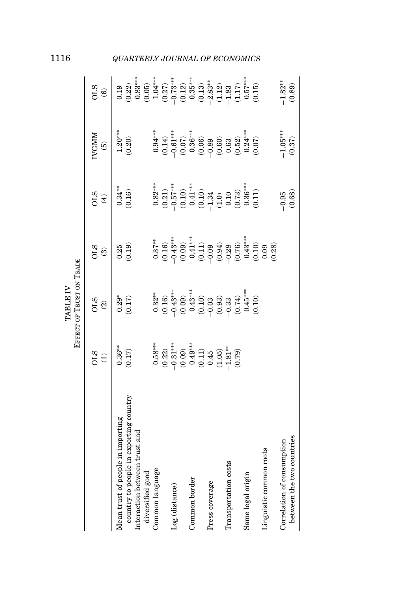|                                                                             |                                                                                                                   | <b>EFFECT OF TRUST ON TRADE</b><br>TABLE IV                                                                                                                                                                                                                                                                                            |                                                                                                                                                                                                                                                                                                                                    |                                                                                                                                                                                                                                                                                                                                          |                                                                                                                                           |                                                                                                                                      |
|-----------------------------------------------------------------------------|-------------------------------------------------------------------------------------------------------------------|----------------------------------------------------------------------------------------------------------------------------------------------------------------------------------------------------------------------------------------------------------------------------------------------------------------------------------------|------------------------------------------------------------------------------------------------------------------------------------------------------------------------------------------------------------------------------------------------------------------------------------------------------------------------------------|------------------------------------------------------------------------------------------------------------------------------------------------------------------------------------------------------------------------------------------------------------------------------------------------------------------------------------------|-------------------------------------------------------------------------------------------------------------------------------------------|--------------------------------------------------------------------------------------------------------------------------------------|
|                                                                             | STO<br>$\ominus$                                                                                                  | <b>OLS</b><br>$\widehat{\mathfrak{A}}$                                                                                                                                                                                                                                                                                                 | <b>OLS</b><br>$\widehat{\mathcal{E}}$                                                                                                                                                                                                                                                                                              | <b>OLS</b><br>$\widehat{f}$                                                                                                                                                                                                                                                                                                              | IVGMM<br>$\widehat{e}$                                                                                                                    | <b>OLS</b><br>$\widehat{\mathbf{e}}$                                                                                                 |
| country to people in exporting country<br>Mean trust of people in importing | $0.36**$<br>(0.17)                                                                                                | $0.29$ <sup>*</sup><br>$(0.17)$                                                                                                                                                                                                                                                                                                        | (0.19)<br>0.25                                                                                                                                                                                                                                                                                                                     | $0.34***$<br>(0.16)                                                                                                                                                                                                                                                                                                                      | $1.20***$<br>(0.20)                                                                                                                       | (0.22)<br>0.19                                                                                                                       |
| Interaction between trust and<br>diversified good                           |                                                                                                                   |                                                                                                                                                                                                                                                                                                                                        |                                                                                                                                                                                                                                                                                                                                    |                                                                                                                                                                                                                                                                                                                                          |                                                                                                                                           | $0.83***$                                                                                                                            |
| Common language                                                             | $0.58***$                                                                                                         | $0.32***$                                                                                                                                                                                                                                                                                                                              | $0.37***$                                                                                                                                                                                                                                                                                                                          | $0.82***$                                                                                                                                                                                                                                                                                                                                | $0.94***$                                                                                                                                 | $\frac{(0.05)}{1.04***}$                                                                                                             |
|                                                                             |                                                                                                                   |                                                                                                                                                                                                                                                                                                                                        | $(0.16)$<br>$-0.43***$                                                                                                                                                                                                                                                                                                             |                                                                                                                                                                                                                                                                                                                                          |                                                                                                                                           |                                                                                                                                      |
| $Log$ (distance)                                                            | $(0.22)$<br>-0.31***                                                                                              | $(0.16)$<br>$-0.43***$                                                                                                                                                                                                                                                                                                                 |                                                                                                                                                                                                                                                                                                                                    |                                                                                                                                                                                                                                                                                                                                          | $(0.14)$<br>$-0.61***$                                                                                                                    |                                                                                                                                      |
|                                                                             |                                                                                                                   |                                                                                                                                                                                                                                                                                                                                        |                                                                                                                                                                                                                                                                                                                                    |                                                                                                                                                                                                                                                                                                                                          |                                                                                                                                           |                                                                                                                                      |
| Common border                                                               |                                                                                                                   |                                                                                                                                                                                                                                                                                                                                        |                                                                                                                                                                                                                                                                                                                                    |                                                                                                                                                                                                                                                                                                                                          |                                                                                                                                           |                                                                                                                                      |
|                                                                             | $(0.09)$<br>$0.49$ <sup>***</sup><br>$0.11$<br>$0.45$<br>$0.11$<br>$0.65$<br>$0.51$<br>$0.51$<br>$0.51$<br>$0.51$ | $\left(\begin{smallmatrix} 0 & 0 & 0 & 0 \\ 0 & 0 & 0 & 0 \\ 0 & 0 & 0 & 0 \\ 0 & 0 & 0 & 0 \\ 0 & 0 & 0 & 0 \\ 0 & 0 & 0 & 0 \\ 0 & 0 & 0 & 0 \\ 0 & 0 & 0 & 0 \\ 0 & 0 & 0 & 0 \\ 0 & 0 & 0 & 0 \\ 0 & 0 & 0 & 0 \\ 0 & 0 & 0 & 0 \\ 0 & 0 & 0 & 0 \\ 0 & 0 & 0 & 0 \\ 0 & 0 & 0 & 0 \\ 0 & 0 & 0 & 0 \\ 0 & 0 & 0 & 0 \\ 0 & 0 & 0$ | $\begin{array}{c} (0.09) \\ (0.04) \\ (0.11) \\ (0.09) \\ (0.94) \\ (0.76) \\ (0.76) \\ (0.76) \\ (0.76) \\ (0.77) \\ (0.78) \\ (0.79) \\ (0.73) \\ (0.73) \\ (0.73) \\ (0.73) \\ (0.73) \\ (0.73) \\ (0.73) \\ (0.73) \\ (0.73) \\ (0.73) \\ (0.73) \\ (0.73) \\ (0.73) \\ (0.73) \\ (0.73) \\ (0.73) \\ (0.73) \\ (0.73) \\ (0.$ | $\begin{array}{l} (0.21) \\[-4pt] -0.57^{***} \\[-4pt] 0.10) \\[-4pt] 0.41^{***} \\[-4pt] 0.10) \\[-4pt] -1.34 \\[-4pt] -1.34 \\[-4pt] 0.0 \\[-4pt] 0.0 \\[-4pt] 0.0 \\[-4pt] 0.0 \\[-4pt] 0.0 \\[-4pt] 0.11) \\[-4pt] 0.36^{***} \\[-4pt] 0.0 \\[-4pt] 0.0 \\[-4pt] 0.0 \\[-4pt] 0.0 \\[-4pt] 0.0 \\[-4pt] 0.0 \\[-4pt] 0.0 \\[-4pt] 0$ | $\begin{array}{c} (0.07)\\[-4pt] 0.36^{***}\\[-4pt] 0.06)\\[-4pt] 0.06)\\[-4pt] 0.60\\[-4pt] 0.60\\[-4pt] 0.62)\\[-4pt] 0.52)\end{array}$ | $\begin{array}{l} (0.27) \\ -0.73^{***} \\ (0.12) \\ 0.35^{***} \\ (0.13) \\ (0.13) \\ -2.83^{**} \\ (1.17) \\ -1.83 \\ \end{array}$ |
| Press coverage                                                              |                                                                                                                   |                                                                                                                                                                                                                                                                                                                                        |                                                                                                                                                                                                                                                                                                                                    |                                                                                                                                                                                                                                                                                                                                          |                                                                                                                                           |                                                                                                                                      |
|                                                                             |                                                                                                                   |                                                                                                                                                                                                                                                                                                                                        |                                                                                                                                                                                                                                                                                                                                    |                                                                                                                                                                                                                                                                                                                                          |                                                                                                                                           |                                                                                                                                      |
| Transportation costs                                                        |                                                                                                                   |                                                                                                                                                                                                                                                                                                                                        |                                                                                                                                                                                                                                                                                                                                    |                                                                                                                                                                                                                                                                                                                                          |                                                                                                                                           |                                                                                                                                      |
|                                                                             | (0.79)                                                                                                            | (0.74)                                                                                                                                                                                                                                                                                                                                 |                                                                                                                                                                                                                                                                                                                                    |                                                                                                                                                                                                                                                                                                                                          |                                                                                                                                           |                                                                                                                                      |
| Same legal origin                                                           |                                                                                                                   | $0.45***$                                                                                                                                                                                                                                                                                                                              |                                                                                                                                                                                                                                                                                                                                    |                                                                                                                                                                                                                                                                                                                                          | $0.24***$                                                                                                                                 |                                                                                                                                      |
|                                                                             |                                                                                                                   | 0.10)                                                                                                                                                                                                                                                                                                                                  | (0.10)                                                                                                                                                                                                                                                                                                                             |                                                                                                                                                                                                                                                                                                                                          | $0.07)$                                                                                                                                   | (0.15)                                                                                                                               |
| Linguistic common roots                                                     |                                                                                                                   |                                                                                                                                                                                                                                                                                                                                        | 0.09                                                                                                                                                                                                                                                                                                                               |                                                                                                                                                                                                                                                                                                                                          |                                                                                                                                           |                                                                                                                                      |
|                                                                             |                                                                                                                   |                                                                                                                                                                                                                                                                                                                                        | (0.28)                                                                                                                                                                                                                                                                                                                             |                                                                                                                                                                                                                                                                                                                                          |                                                                                                                                           |                                                                                                                                      |
| Correlation of consumption                                                  |                                                                                                                   |                                                                                                                                                                                                                                                                                                                                        |                                                                                                                                                                                                                                                                                                                                    | $-0.95$                                                                                                                                                                                                                                                                                                                                  |                                                                                                                                           | $-1.82**$                                                                                                                            |
| between the two countries                                                   |                                                                                                                   |                                                                                                                                                                                                                                                                                                                                        |                                                                                                                                                                                                                                                                                                                                    | (0.68)                                                                                                                                                                                                                                                                                                                                   | $-1.05***$<br>(0.37)                                                                                                                      | (0.89)                                                                                                                               |

# 1116 *QUARTERLY JOURNAL OF ECONOMICS*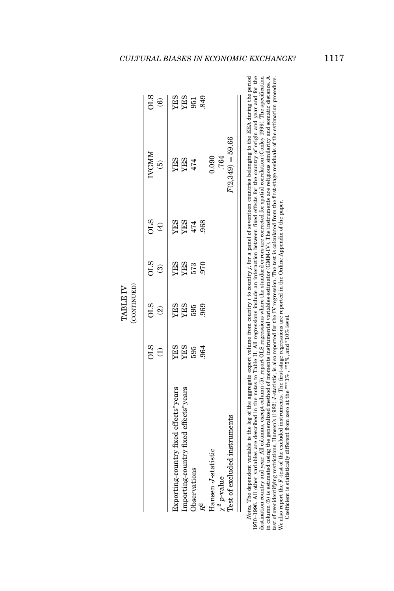|                                       |                             | (CONTINUED)<br>TABLE IV                |                       |                           |                        |                               |
|---------------------------------------|-----------------------------|----------------------------------------|-----------------------|---------------------------|------------------------|-------------------------------|
|                                       | <b>OLS</b><br>$\widehat{E}$ | <b>OLS</b><br>$\widehat{\mathfrak{D}}$ | <b>OLS</b><br>$\odot$ | <b>OLS</b><br>$\bigoplus$ | IVGMM<br>$\widehat{e}$ | STO<br>$\widehat{\mathbf{e}}$ |
| Exporting-country fixed effects*years | <b>SHI</b>                  | <b>SHIA</b>                            |                       | <b>SHI</b>                | YЕS                    | ЯЯ                            |
| Importing-country fixed effects*years | YES                         | <b>SHI</b>                             | <b>YES<br/>YES</b>    | YES                       | YES                    | YES                           |
| Observations                          | 595                         | 595                                    | 573                   |                           | 474                    | 951                           |
| $R^2$                                 | 964                         | 969                                    | 970                   | 474<br>968                |                        | 849                           |
| Hansen J-statistic                    |                             |                                        |                       |                           | 0.090                  |                               |
| $\chi^2 p$ -value                     |                             |                                        |                       |                           | .764                   |                               |
| Test of excluded instruments          |                             |                                        |                       |                           | $F(2,349) = 59.66$     |                               |

Notes. The dependent variable is the log of the aggregate export volume from country i to country, for a panel of seventeen countries belonging to the EEA during the period and pear and for the country of origin and year a destination country and year. All columns, except column (5), report OLS regressions where the standard errors are corrected for spatial correlation (Conley 1999). The specification<br>in column (5) is estimated using the gen test of overidentifying restrictions, Hansen's (1982) J-statistic, is also reported for the IV regression. The test is calculated from the first-stage residuals of the estimation procedure.<br>We also report the F-test of the *Notes.* The dependent variable is the log of the aggregate export volume from country *i* to country *j*, for a panel of seventeen countries belonging to the EEA during the period 1970–1996. All other variables are described in the notes to Table II. All regressions include an interaction between fixed effects for the country of origin and year and for the destination country and year. All columns, except column (5), report OLS regressions where the standard errors are corrected for spatial correlation (Conley 1999). The specification in column (5) is estimated using the generalized method of moments instrumental variables estimator (GMM-IV). The instruments are religious similarity and somatic distance. A test of overidentifying restrictions, Hansen's (1982) *J*-statistic, is also reported for the IV regression. The test is calculated from the first-stage residuals of the estimation procedure. We also report the *F*-test of the excluded instruments. The first-stage regressions are reported in the Online Appendix of the paper. Coefficient is statistically different from zero at the ∗∗∗1% , ∗∗5%, and ∗10% level.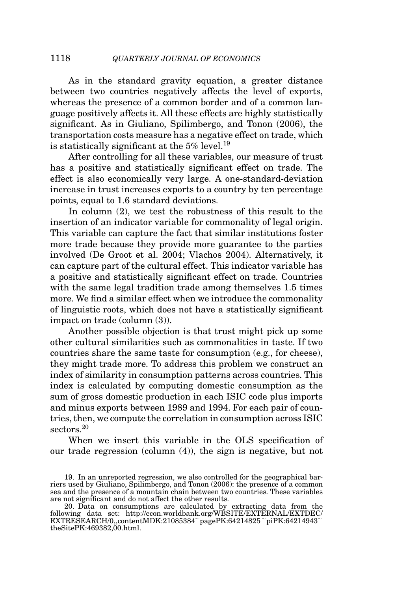As in the standard gravity equation, a greater distance between two countries negatively affects the level of exports, whereas the presence of a common border and of a common language positively affects it. All these effects are highly statistically significant. As in Giuliano, Spilimbergo, and Tonon (2006), the transportation costs measure has a negative effect on trade, which is statistically significant at the  $5\%$  level.<sup>19</sup>

After controlling for all these variables, our measure of trust has a positive and statistically significant effect on trade. The effect is also economically very large. A one-standard-deviation increase in trust increases exports to a country by ten percentage points, equal to 1.6 standard deviations.

In column (2), we test the robustness of this result to the insertion of an indicator variable for commonality of legal origin. This variable can capture the fact that similar institutions foster more trade because they provide more guarantee to the parties involved (De Groot et al. 2004; Vlachos 2004). Alternatively, it can capture part of the cultural effect. This indicator variable has a positive and statistically significant effect on trade. Countries with the same legal tradition trade among themselves 1.5 times more. We find a similar effect when we introduce the commonality of linguistic roots, which does not have a statistically significant impact on trade (column (3)).

Another possible objection is that trust might pick up some other cultural similarities such as commonalities in taste. If two countries share the same taste for consumption (e.g., for cheese), they might trade more. To address this problem we construct an index of similarity in consumption patterns across countries. This index is calculated by computing domestic consumption as the sum of gross domestic production in each ISIC code plus imports and minus exports between 1989 and 1994. For each pair of countries, then, we compute the correlation in consumption across ISIC sectors.<sup>20</sup>

When we insert this variable in the OLS specification of our trade regression (column (4)), the sign is negative, but not

<sup>19.</sup> In an unreported regression, we also controlled for the geographical barriers used by Giuliano, Spilimbergo, and Tonon (2006): the presence of a common sea and the presence of a mountain chain between two countries. These variables are not significant and do not affect the other results.

<sup>20.</sup> Data on consumptions are calculated by extracting data from the following data set: http://econ.worldbank.org/WBSITE/EXTERNAL/EXTDEC/ EXTRESEARCH/0,,contentMDK:21085384∼pagePK:64214825 ∼piPK:64214943∼ theSitePK:469382,00.html.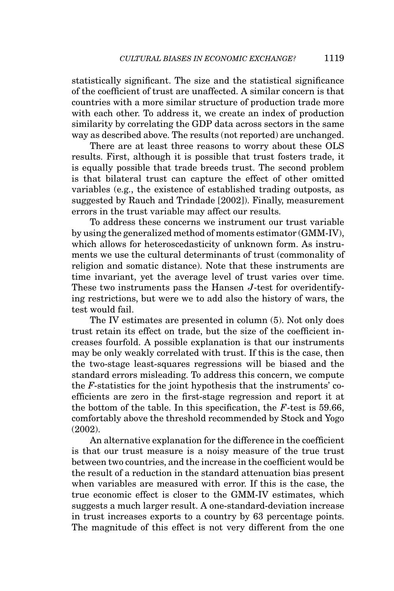statistically significant. The size and the statistical significance of the coefficient of trust are unaffected. A similar concern is that countries with a more similar structure of production trade more with each other. To address it, we create an index of production similarity by correlating the GDP data across sectors in the same way as described above. The results (not reported) are unchanged.

There are at least three reasons to worry about these OLS results. First, although it is possible that trust fosters trade, it is equally possible that trade breeds trust. The second problem is that bilateral trust can capture the effect of other omitted variables (e.g., the existence of established trading outposts, as suggested by Rauch and Trindade [2002]). Finally, measurement errors in the trust variable may affect our results.

To address these concerns we instrument our trust variable by using the generalized method of moments estimator (GMM-IV), which allows for heteroscedasticity of unknown form. As instruments we use the cultural determinants of trust (commonality of religion and somatic distance). Note that these instruments are time invariant, yet the average level of trust varies over time. These two instruments pass the Hansen *J*-test for overidentifying restrictions, but were we to add also the history of wars, the test would fail.

The IV estimates are presented in column (5). Not only does trust retain its effect on trade, but the size of the coefficient increases fourfold. A possible explanation is that our instruments may be only weakly correlated with trust. If this is the case, then the two-stage least-squares regressions will be biased and the standard errors misleading. To address this concern, we compute the *F*-statistics for the joint hypothesis that the instruments' coefficients are zero in the first-stage regression and report it at the bottom of the table. In this specification, the *F*-test is 59.66, comfortably above the threshold recommended by Stock and Yogo (2002).

An alternative explanation for the difference in the coefficient is that our trust measure is a noisy measure of the true trust between two countries, and the increase in the coefficient would be the result of a reduction in the standard attenuation bias present when variables are measured with error. If this is the case, the true economic effect is closer to the GMM-IV estimates, which suggests a much larger result. A one-standard-deviation increase in trust increases exports to a country by 63 percentage points. The magnitude of this effect is not very different from the one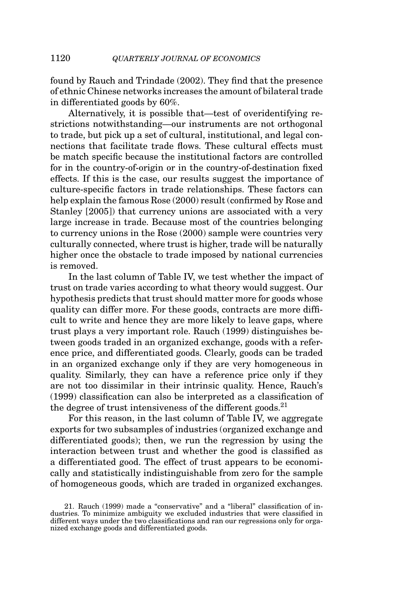found by Rauch and Trindade (2002). They find that the presence of ethnic Chinese networks increases the amount of bilateral trade in differentiated goods by 60%.

Alternatively, it is possible that—test of overidentifying restrictions notwithstanding—our instruments are not orthogonal to trade, but pick up a set of cultural, institutional, and legal connections that facilitate trade flows. These cultural effects must be match specific because the institutional factors are controlled for in the country-of-origin or in the country-of-destination fixed effects. If this is the case, our results suggest the importance of culture-specific factors in trade relationships. These factors can help explain the famous Rose (2000) result (confirmed by Rose and Stanley [2005]) that currency unions are associated with a very large increase in trade. Because most of the countries belonging to currency unions in the Rose (2000) sample were countries very culturally connected, where trust is higher, trade will be naturally higher once the obstacle to trade imposed by national currencies is removed.

In the last column of Table IV, we test whether the impact of trust on trade varies according to what theory would suggest. Our hypothesis predicts that trust should matter more for goods whose quality can differ more. For these goods, contracts are more difficult to write and hence they are more likely to leave gaps, where trust plays a very important role. Rauch (1999) distinguishes between goods traded in an organized exchange, goods with a reference price, and differentiated goods. Clearly, goods can be traded in an organized exchange only if they are very homogeneous in quality. Similarly, they can have a reference price only if they are not too dissimilar in their intrinsic quality. Hence, Rauch's (1999) classification can also be interpreted as a classification of the degree of trust intensiveness of the different goods. $^{21}$ 

For this reason, in the last column of Table IV, we aggregate exports for two subsamples of industries (organized exchange and differentiated goods); then, we run the regression by using the interaction between trust and whether the good is classified as a differentiated good. The effect of trust appears to be economically and statistically indistinguishable from zero for the sample of homogeneous goods, which are traded in organized exchanges.

<sup>21.</sup> Rauch (1999) made a "conservative" and a "liberal" classification of industries. To minimize ambiguity we excluded industries that were classified in different ways under the two classifications and ran our regressions only for organized exchange goods and differentiated goods.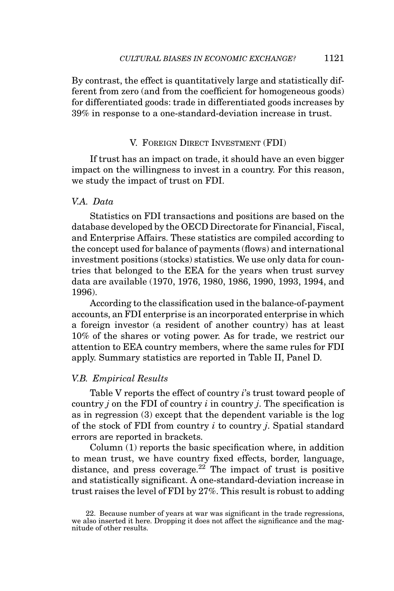By contrast, the effect is quantitatively large and statistically different from zero (and from the coefficient for homogeneous goods) for differentiated goods: trade in differentiated goods increases by 39% in response to a one-standard-deviation increase in trust.

## V. FOREIGN DIRECT INVESTMENT (FDI)

If trust has an impact on trade, it should have an even bigger impact on the willingness to invest in a country. For this reason, we study the impact of trust on FDI.

## *V.A. Data*

Statistics on FDI transactions and positions are based on the database developed by the OECD Directorate for Financial, Fiscal, and Enterprise Affairs. These statistics are compiled according to the concept used for balance of payments (flows) and international investment positions (stocks) statistics. We use only data for countries that belonged to the EEA for the years when trust survey data are available (1970, 1976, 1980, 1986, 1990, 1993, 1994, and 1996).

According to the classification used in the balance-of-payment accounts, an FDI enterprise is an incorporated enterprise in which a foreign investor (a resident of another country) has at least 10% of the shares or voting power. As for trade, we restrict our attention to EEA country members, where the same rules for FDI apply. Summary statistics are reported in Table II, Panel D.

# *V.B. Empirical Results*

Table V reports the effect of country *i*'s trust toward people of country *j* on the FDI of country *i* in country *j*. The specification is as in regression (3) except that the dependent variable is the log of the stock of FDI from country *i* to country *j*. Spatial standard errors are reported in brackets.

Column (1) reports the basic specification where, in addition to mean trust, we have country fixed effects, border, language, distance, and press coverage. $22$  The impact of trust is positive and statistically significant. A one-standard-deviation increase in trust raises the level of FDI by 27%. This result is robust to adding

<sup>22.</sup> Because number of years at war was significant in the trade regressions, we also inserted it here. Dropping it does not affect the significance and the magnitude of other results.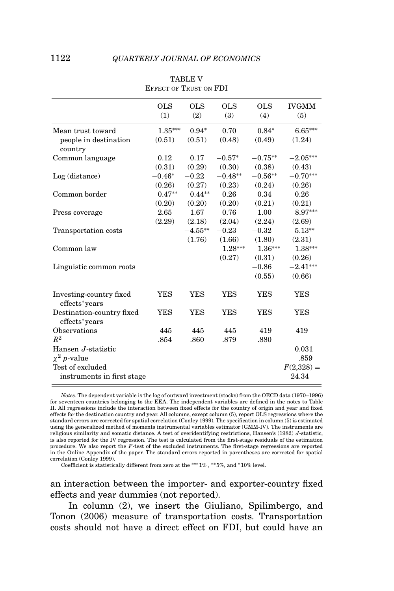|                                                                                                          | LIFFECT OF INCOLON FLI |                      |                     |                     |                                        |
|----------------------------------------------------------------------------------------------------------|------------------------|----------------------|---------------------|---------------------|----------------------------------------|
|                                                                                                          | <b>OLS</b><br>(1)      | <b>OLS</b><br>(2)    | <b>OLS</b><br>(3)   | <b>OLS</b><br>(4)   | <b>IVGMM</b><br>(5)                    |
| Mean trust toward<br>people in destination<br>country                                                    | $1.35***$<br>(0.51)    | $0.94*$<br>(0.51)    | 0.70<br>(0.48)      | $0.84*$<br>(0.49)   | $6.65***$<br>(1.24)                    |
| Common language                                                                                          | 0.12<br>(0.31)         | 0.17<br>(0.29)       | $-0.57*$<br>(0.30)  | $-0.75**$<br>(0.38) | $-2.05***$<br>(0.43)                   |
| $Log$ (distance)                                                                                         | $-0.46*$<br>(0.26)     | $-0.22$<br>(0.27)    | $-0.48**$<br>(0.23) | $-0.56**$<br>(0.24) | $-0.70***$<br>(0.26)                   |
| Common border                                                                                            | $0.47**$<br>(0.20)     | $0.44**$<br>(0.20)   | 0.26<br>(0.20)      | 0.34<br>(0.21)      | 0.26<br>(0.21)                         |
| Press coverage                                                                                           | 2.65<br>(2.29)         | 1.67<br>(2.18)       | 0.76<br>(2.04)      | 1.00<br>(2.24)      | $8.97***$<br>(2.69)                    |
| Transportation costs                                                                                     |                        | $-4.55***$<br>(1.76) | $-0.23$<br>(1.66)   | $-0.32$<br>(1.80)   | $5.13**$<br>(2.31)                     |
| Common law                                                                                               |                        |                      | $1.28***$<br>(0.27) | $1.36***$<br>(0.31) | $1.38***$<br>(0.26)                    |
| Linguistic common roots                                                                                  |                        |                      |                     | $-0.86$<br>(0.55)   | $-2.41***$<br>(0.66)                   |
| Investing-country fixed<br>effects*years                                                                 | <b>YES</b>             | <b>YES</b>           | <b>YES</b>          | <b>YES</b>          | <b>YES</b>                             |
| Destination-country fixed<br>effects*years                                                               | YES                    | <b>YES</b>           | <b>YES</b>          | <b>YES</b>          | <b>YES</b>                             |
| Observations<br>$\mathbb{R}^2$                                                                           | 445<br>.854            | 445<br>.860          | 445<br>.879         | 419<br>.880         | 419                                    |
| Hansen <i>J</i> -statistic<br>$\chi^2$ <i>p</i> -value<br>Test of excluded<br>instruments in first stage |                        |                      |                     |                     | 0.031<br>.859<br>$F(2,328) =$<br>24.34 |

TABLE V EFFECT OF TRUST ON FDI

*Notes.* The dependent variable is the log of outward investment (stocks) from the OECD data (1970–1996) for seventeen countries belonging to the EEA. The independent variables are defined in the notes to Table II. All regressions include the interaction between fixed effects for the country of origin and year and fixed effects for the destination country and year. All columns, except column (5), report OLS regressions where the standard errors are corrected for spatial correlation (Conley 1999). The specification in column (5) is estimated using the generalized method of moments instrumental variables estimator (GMM-IV). The instruments are religious similarity and somatic distance. A test of overidentifying restrictions, Hansen's (1982) *J*-statistic, is also reported for the IV regression. The test is calculated from the first-stage residuals of the estimation procedure. We also report the *F*-test of the excluded instruments. The first-stage regressions are reported in the Online Appendix of the paper. The standard errors reported in parentheses are corrected for spatial correlation (Conley 1999).

Coefficient is statistically different from zero at the ∗∗∗1% , ∗∗5%, and ∗10% level.

an interaction between the importer- and exporter-country fixed effects and year dummies (not reported).

In column (2), we insert the Giuliano, Spilimbergo, and Tonon (2006) measure of transportation costs. Transportation costs should not have a direct effect on FDI, but could have an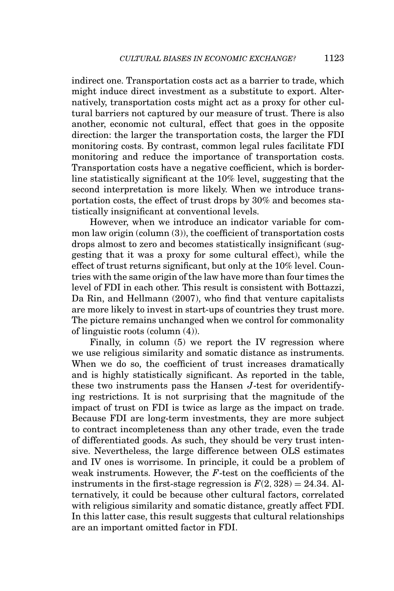indirect one. Transportation costs act as a barrier to trade, which might induce direct investment as a substitute to export. Alternatively, transportation costs might act as a proxy for other cultural barriers not captured by our measure of trust. There is also another, economic not cultural, effect that goes in the opposite direction: the larger the transportation costs, the larger the FDI monitoring costs. By contrast, common legal rules facilitate FDI monitoring and reduce the importance of transportation costs. Transportation costs have a negative coefficient, which is borderline statistically significant at the 10% level, suggesting that the second interpretation is more likely. When we introduce transportation costs, the effect of trust drops by 30% and becomes statistically insignificant at conventional levels.

However, when we introduce an indicator variable for common law origin (column (3)), the coefficient of transportation costs drops almost to zero and becomes statistically insignificant (suggesting that it was a proxy for some cultural effect), while the effect of trust returns significant, but only at the 10% level. Countries with the same origin of the law have more than four times the level of FDI in each other. This result is consistent with Bottazzi, Da Rin, and Hellmann (2007), who find that venture capitalists are more likely to invest in start-ups of countries they trust more. The picture remains unchanged when we control for commonality of linguistic roots (column (4)).

Finally, in column (5) we report the IV regression where we use religious similarity and somatic distance as instruments. When we do so, the coefficient of trust increases dramatically and is highly statistically significant. As reported in the table, these two instruments pass the Hansen *J*-test for overidentifying restrictions. It is not surprising that the magnitude of the impact of trust on FDI is twice as large as the impact on trade. Because FDI are long-term investments, they are more subject to contract incompleteness than any other trade, even the trade of differentiated goods. As such, they should be very trust intensive. Nevertheless, the large difference between OLS estimates and IV ones is worrisome. In principle, it could be a problem of weak instruments. However, the *F*-test on the coefficients of the instruments in the first-stage regression is  $F(2, 328) = 24.34$ . Alternatively, it could be because other cultural factors, correlated with religious similarity and somatic distance, greatly affect FDI. In this latter case, this result suggests that cultural relationships are an important omitted factor in FDI.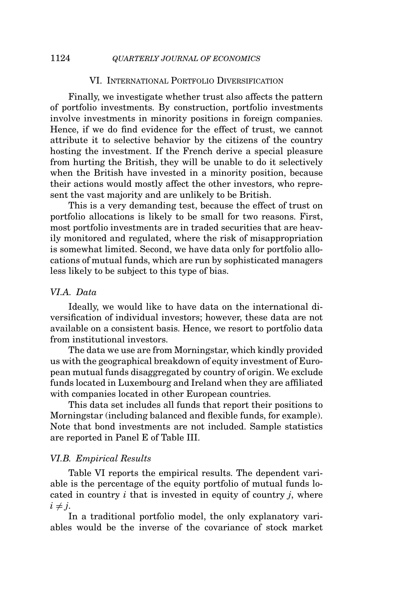#### VI. INTERNATIONAL PORTFOLIO DIVERSIFICATION

Finally, we investigate whether trust also affects the pattern of portfolio investments. By construction, portfolio investments involve investments in minority positions in foreign companies. Hence, if we do find evidence for the effect of trust, we cannot attribute it to selective behavior by the citizens of the country hosting the investment. If the French derive a special pleasure from hurting the British, they will be unable to do it selectively when the British have invested in a minority position, because their actions would mostly affect the other investors, who represent the vast majority and are unlikely to be British.

This is a very demanding test, because the effect of trust on portfolio allocations is likely to be small for two reasons. First, most portfolio investments are in traded securities that are heavily monitored and regulated, where the risk of misappropriation is somewhat limited. Second, we have data only for portfolio allocations of mutual funds, which are run by sophisticated managers less likely to be subject to this type of bias.

# *VI.A. Data*

Ideally, we would like to have data on the international diversification of individual investors; however, these data are not available on a consistent basis. Hence, we resort to portfolio data from institutional investors.

The data we use are from Morningstar, which kindly provided us with the geographical breakdown of equity investment of European mutual funds disaggregated by country of origin. We exclude funds located in Luxembourg and Ireland when they are affiliated with companies located in other European countries.

This data set includes all funds that report their positions to Morningstar (including balanced and flexible funds, for example). Note that bond investments are not included. Sample statistics are reported in Panel E of Table III.

#### *VI.B. Empirical Results*

Table VI reports the empirical results. The dependent variable is the percentage of the equity portfolio of mutual funds located in country *i* that is invested in equity of country *j*, where  $i \neq j$ .

In a traditional portfolio model, the only explanatory variables would be the inverse of the covariance of stock market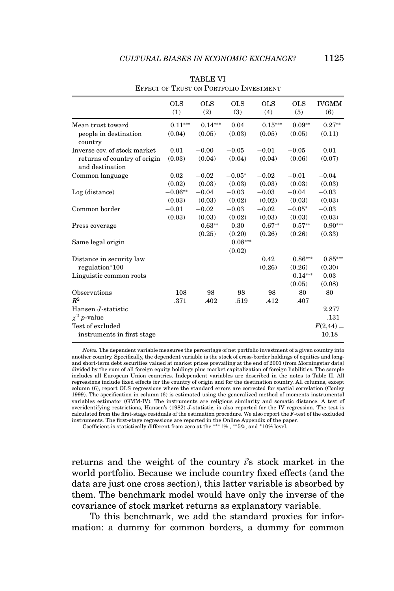|                                                 | <b>OLS</b><br>(1) | <b>OLS</b><br>(2) | <b>OLS</b><br>(3)   | <b>OLS</b><br>(4) | <b>OLS</b><br>(5) | <b>IVGMM</b><br>(6) |
|-------------------------------------------------|-------------------|-------------------|---------------------|-------------------|-------------------|---------------------|
| Mean trust toward                               | $0.11***$         | $0.14***$         | 0.04                | $0.15***$         | $0.09**$          | $0.27**$            |
| people in destination<br>country                | (0.04)            | (0.05)            | (0.03)              | (0.05)            | (0.05)            | (0.11)              |
| Inverse cov. of stock market                    | 0.01              | $-0.00$           | $-0.05$             | $-0.01$           | $-0.05$           | 0.01                |
| returns of country of origin<br>and destination | (0.03)            | (0.04)            | (0.04)              | (0.04)            | (0.06)            | (0.07)              |
| Common language                                 | 0.02              | $-0.02$           | $-0.05*$            | $-0.02$           | $-0.01$           | $-0.04$             |
|                                                 | (0.02)            | (0.03)            | (0.03)              | (0.03)            | (0.03)            | (0.03)              |
| Log (distance)                                  | $-0.06**$         | $-0.04$           | $-0.03$             | $-0.03$           | $-0.04$           | $-0.03$             |
|                                                 | (0.03)            | (0.03)            | (0.02)              | (0.02)            | (0.03)            | (0.03)              |
| Common border                                   | $-0.01$           | $-0.02$           | $-0.03$             | $-0.02$           | $-0.05*$          | $-0.03$             |
|                                                 | (0.03)            | (0.03)            | (0.02)              | (0.03)            | (0.03)            | (0.03)              |
| Press coverage                                  |                   | $0.63**$          | 0.30                | $0.67**$          | $0.57**$          | $0.90***$           |
|                                                 |                   | (0.25)            | (0.20)              | (0.26)            | (0.26)            | (0.33)              |
| Same legal origin                               |                   |                   | $0.08***$<br>(0.02) |                   |                   |                     |
| Distance in security law                        |                   |                   |                     | 0.42              | $0.86***$         | $0.85***$           |
| regulation*100                                  |                   |                   |                     | (0.26)            | (0.26)            | (0.30)              |
| Linguistic common roots                         |                   |                   |                     |                   | $0.14***$         | 0.03                |
|                                                 |                   |                   |                     |                   | (0.05)            | (0.08)              |
| Observations                                    | 108               | 98                | 98                  | 98                | 80                | 80                  |
| $R^2$                                           | .371              | .402              | .519                | .412              | .407              |                     |
| Hansen J-statistic                              |                   |                   |                     |                   |                   | 2.277               |
| $\chi^2$ p-value                                |                   |                   |                     |                   |                   | .131                |
| Test of excluded                                |                   |                   |                     |                   |                   | $F(2,44) =$         |
| instruments in first stage                      |                   |                   |                     |                   |                   | 10.18               |

TABLE VI EFFECT OF TRUST ON PORTFOLIO INVESTMENT

*Notes.* The dependent variable measures the percentage of net portfolio investment of a given country into another country. Specifically, the dependent variable is the stock of cross-border holdings of equities and longand short-term debt securities valued at market prices prevailing at the end of 2001 (from Morningstar data) divided by the sum of all foreign equity holdings plus market capitalization of foreign liabilities. The sample includes all European Union countries. Independent variables are described in the notes to Table II. All regressions include fixed effects for the country of origin and for the destination country. All columns, except column (6), report OLS regressions where the standard errors are corrected for spatial correlation (Conley 1999). The specification in column (6) is estimated using the generalized method of moments instrumental variables estimator (GMM-IV). The instruments are religious similarity and somatic distance. A test of overidentifying restrictions, Hansen's (1982) *J*-statistic, is also reported for the IV regression. The test is calculated from the first-stage residuals of the estimation procedure. We also report the *F*-test of the excluded instruments. The first-stage regressions are reported in the Online Appendix of the paper.

Coefficient is statistically different from zero at the ∗∗∗1% , ∗∗5%, and ∗10% level.

returns and the weight of the country *i*'s stock market in the world portfolio. Because we include country fixed effects (and the data are just one cross section), this latter variable is absorbed by them. The benchmark model would have only the inverse of the covariance of stock market returns as explanatory variable.

To this benchmark, we add the standard proxies for information: a dummy for common borders, a dummy for common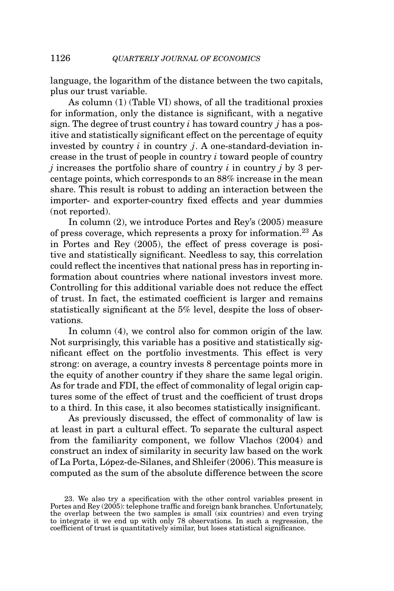language, the logarithm of the distance between the two capitals, plus our trust variable.

As column (1) (Table VI) shows, of all the traditional proxies for information, only the distance is significant, with a negative sign. The degree of trust country *i* has toward country *j* has a positive and statistically significant effect on the percentage of equity invested by country *i* in country *j*. A one-standard-deviation increase in the trust of people in country *i* toward people of country *j* increases the portfolio share of country *i* in country *j* by 3 percentage points, which corresponds to an 88% increase in the mean share. This result is robust to adding an interaction between the importer- and exporter-country fixed effects and year dummies (not reported).

In column (2), we introduce Portes and Rey's (2005) measure of press coverage, which represents a proxy for information.23 As in Portes and Rey (2005), the effect of press coverage is positive and statistically significant. Needless to say, this correlation could reflect the incentives that national press has in reporting information about countries where national investors invest more. Controlling for this additional variable does not reduce the effect of trust. In fact, the estimated coefficient is larger and remains statistically significant at the 5% level, despite the loss of observations.

In column (4), we control also for common origin of the law. Not surprisingly, this variable has a positive and statistically significant effect on the portfolio investments. This effect is very strong: on average, a country invests 8 percentage points more in the equity of another country if they share the same legal origin. As for trade and FDI, the effect of commonality of legal origin captures some of the effect of trust and the coefficient of trust drops to a third. In this case, it also becomes statistically insignificant.

As previously discussed, the effect of commonality of law is at least in part a cultural effect. To separate the cultural aspect from the familiarity component, we follow Vlachos (2004) and construct an index of similarity in security law based on the work of La Porta, López-de-Silanes, and Shleifer (2006). This measure is computed as the sum of the absolute difference between the score

<sup>23.</sup> We also try a specification with the other control variables present in Portes and Rey (2005): telephone traffic and foreign bank branches. Unfortunately, the overlap between the two samples is small (six countries) an to integrate it we end up with only 78 observations. In such a regression, the coefficient of trust is quantitatively similar, but loses statistical significance.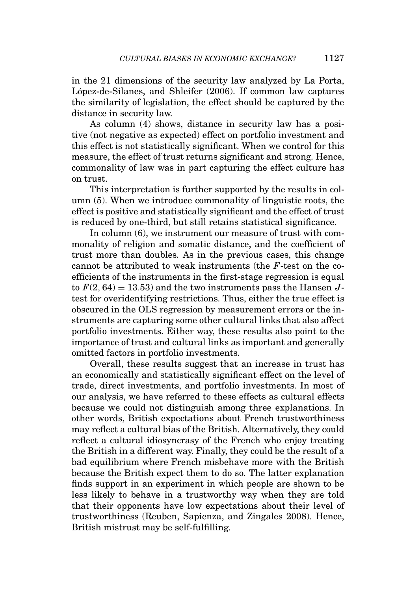in the 21 dimensions of the security law analyzed by La Porta, López-de-Silanes, and Shleifer (2006). If common law captures the similarity of legislation, the effect should be captured by the distance in security law.

As column (4) shows, distance in security law has a positive (not negative as expected) effect on portfolio investment and this effect is not statistically significant. When we control for this measure, the effect of trust returns significant and strong. Hence, commonality of law was in part capturing the effect culture has on trust.

This interpretation is further supported by the results in column (5). When we introduce commonality of linguistic roots, the effect is positive and statistically significant and the effect of trust is reduced by one-third, but still retains statistical significance.

In column  $(6)$ , we instrument our measure of trust with commonality of religion and somatic distance, and the coefficient of trust more than doubles. As in the previous cases, this change cannot be attributed to weak instruments (the *F*-test on the coefficients of the instruments in the first-stage regression is equal to  $F(2, 64) = 13.53$  and the two instruments pass the Hansen Jtest for overidentifying restrictions. Thus, either the true effect is obscured in the OLS regression by measurement errors or the instruments are capturing some other cultural links that also affect portfolio investments. Either way, these results also point to the importance of trust and cultural links as important and generally omitted factors in portfolio investments.

Overall, these results suggest that an increase in trust has an economically and statistically significant effect on the level of trade, direct investments, and portfolio investments. In most of our analysis, we have referred to these effects as cultural effects because we could not distinguish among three explanations. In other words, British expectations about French trustworthiness may reflect a cultural bias of the British. Alternatively, they could reflect a cultural idiosyncrasy of the French who enjoy treating the British in a different way. Finally, they could be the result of a bad equilibrium where French misbehave more with the British because the British expect them to do so. The latter explanation finds support in an experiment in which people are shown to be less likely to behave in a trustworthy way when they are told that their opponents have low expectations about their level of trustworthiness (Reuben, Sapienza, and Zingales 2008). Hence, British mistrust may be self-fulfilling.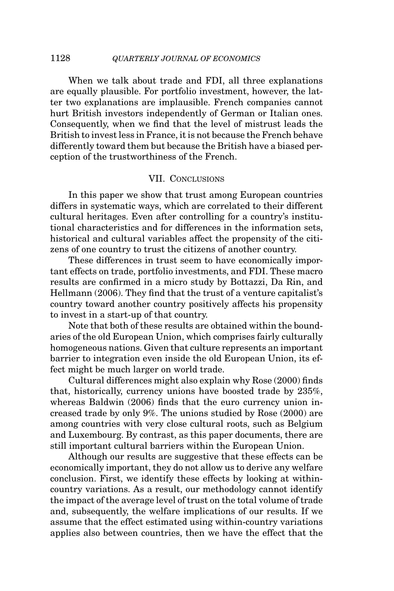#### 1128 *QUARTERLY JOURNAL OF ECONOMICS*

When we talk about trade and FDI, all three explanations are equally plausible. For portfolio investment, however, the latter two explanations are implausible. French companies cannot hurt British investors independently of German or Italian ones. Consequently, when we find that the level of mistrust leads the British to invest less in France, it is not because the French behave differently toward them but because the British have a biased perception of the trustworthiness of the French.

## VII. CONCLUSIONS

In this paper we show that trust among European countries differs in systematic ways, which are correlated to their different cultural heritages. Even after controlling for a country's institutional characteristics and for differences in the information sets, historical and cultural variables affect the propensity of the citizens of one country to trust the citizens of another country.

These differences in trust seem to have economically important effects on trade, portfolio investments, and FDI. These macro results are confirmed in a micro study by Bottazzi, Da Rin, and Hellmann (2006). They find that the trust of a venture capitalist's country toward another country positively affects his propensity to invest in a start-up of that country.

Note that both of these results are obtained within the boundaries of the old European Union, which comprises fairly culturally homogeneous nations. Given that culture represents an important barrier to integration even inside the old European Union, its effect might be much larger on world trade.

Cultural differences might also explain why Rose (2000) finds that, historically, currency unions have boosted trade by 235%, whereas Baldwin (2006) finds that the euro currency union increased trade by only 9%. The unions studied by Rose (2000) are among countries with very close cultural roots, such as Belgium and Luxembourg. By contrast, as this paper documents, there are still important cultural barriers within the European Union.

Although our results are suggestive that these effects can be economically important, they do not allow us to derive any welfare conclusion. First, we identify these effects by looking at withincountry variations. As a result, our methodology cannot identify the impact of the average level of trust on the total volume of trade and, subsequently, the welfare implications of our results. If we assume that the effect estimated using within-country variations applies also between countries, then we have the effect that the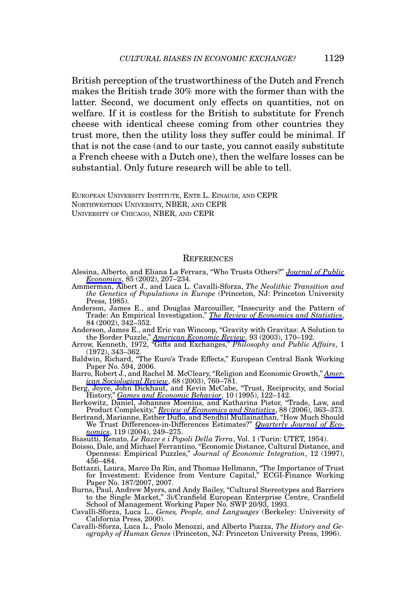British perception of the trustworthiness of the Dutch and French makes the British trade 30% more with the former than with the latter. Second, we document only effects on quantities, not on welfare. If it is costless for the British to substitute for French cheese with identical cheese coming from other countries they trust more, then the utility loss they suffer could be minimal. If that is not the case (and to our taste, you cannot easily substitute a French cheese with a Dutch one), then the welfare losses can be substantial. Only future research will be able to tell.

EUROPEAN UNIVERSITY INSTITUTE, ENTE L. EINAUDI, AND CEPR NORTHWESTERN UNIVERSITY, NBER, AND CEPR UNIVERSITY OF CHICAGO, NBER, AND CEPR

#### **REFERENCES**

- Alesina, Alberto, and Eliana La Ferrara, "Who Trusts Others?" *Journal of Public Economics*, 85 (2002), 207–234.
- Ammerman, Albert J., and Luca L. Cavalli-Sforza, *The Neolithic Transition and the Genetics of Populations in Europe* (Princeton, NJ: Princeton University Press, 1985).
- Anderson, James E., and Douglas Marcouiller, "Insecurity and the Pattern of Trade: An Empirical Investigation," *The Review of Economics and Statistics*, 84 (2002), 342–352.
- Anderson, James E., and Eric van Wincoop, "Gravity with Gravitas: A Solution to
- the Border Puzzle," *American Economic Review*, 93 (2003), 170–192. Arrow, Kenneth, 1972, "Gifts and Exchanges," *Philosophy and Public Affairs*, 1 (1972), 343–362.
- Baldwin, Richard, "The Euro's Trade Effects," European Central Bank Working Paper No. 594, 2006.
- Barro, Robert J., and Rachel M. McCleary, "Religion and Economic Growth," *Amer-ican Sociological Review*, 68 (2003), 760–781.
- Berg, Joyce, John Dickhaut, and Kevin McCabe, "Trust, Reciprocity, and Social History," *Games and Economic Behavior*, 10 (1995), 122–142. Berkowitz, Daniel, Johannes Moenius, and Katharina Pistor, "Trade, Law, and
- 
- Product Complexity," <u>Review of Economics and Statistics</u>, 88 (2006), 363–373.<br>Bertrand, Marianne, Esther Duflo, and Sendhil Mullainathan, "How Much Should<br>We Trust Differences-in-Differences Estimates?" *Quarterly Journal nomics*, 119 (2004), 249–275.
- Biasutti, Renato, *Le Razze e i Popoli Della Terra*, Vol. 1 (Turin: UTET, 1954).
- Boisso, Dale, and Michael Ferrantino, "Economic Distance, Cultural Distance, and Openness: Empirical Puzzles," *Journal of Economic Integration*, 12 (1997), 456–484.
- Bottazzi, Laura, Marco Da Rin, and Thomas Hellmann, "The Importance of Trust for Investment: Evidence from Venture Capital," ECGI-Finance Working Paper No. 187/2007, 2007.
- Burns, Paul, Andrew Myers, and Andy Bailey, "Cultural Stereotypes and Barriers to the Single Market," 3i/Cranfield European Enterprise Centre, Cranfield School of Management Working Paper No. SWP 20/93, 1993.
- Cavalli-Sforza, Luca L., *Genes, People, and Languages* (Berkeley: University of California Press, 2000).
- Cavalli-Sforza, Luca L., Paolo Menozzi, and Alberto Piazza, *The History and Geography of Human Genes* (Princeton, NJ: Princeton University Press, 1996).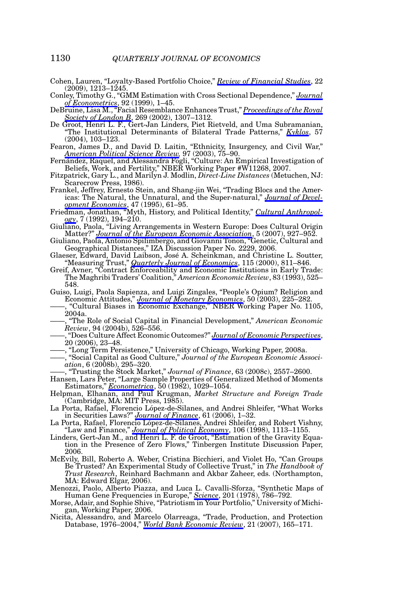- Cohen, Lauren, "Loyalty-Based Portfolio Choice," *Review of Financial Studies*, 22 (2009), 1213–1245.
- Conley, Timothy G., "GMM Estimation with Cross Sectional Dependence," *Journal of Econometrics*, 92 (1999), 1–45. DeBruine, Lisa M., "Facial Resemblance Enhances Trust," *Proceedings of the Royal*
- *Society of London B*, 269 (2002), 1307–1312.
- De Groot, Henri L. F., Gert-Jan Linders, Piet Rietveld, and Uma Subramanian, "The Institutional Determinants of Bilateral Trade Patterns," *Kyklos*, 57 (2004), 103–123.
- Fearon, James D., and David D. Laitin, "Ethnicity, Insurgency, and Civil War,"<br>*American Political Science Review*, 97 (2003), 75–90.<br>Fernández, Raquel, and Alessandra Fogli, "Culture: An Empirical Investigation of
- Beliefs, Work, and Fertility," NBER Working Paper #W11268, 2007.
- Fitzpatrick, Gary L., and Marilyn J. Modlin, *Direct-Line Distances* (Metuchen, NJ: Scarecrow Press, 1986).
- Frankel, Jeffrey, Ernesto Stein, and Shang-jin Wei, "Trading Blocs and the Americas: The Natural, the Unnatural, and the Super-natural," *Journal of Devel-*
- *opment Economics*, 47 (1995), 61–95. Friedman, Jonathan, "Myth, History, and Political Identity," *Cultural Anthropol-ogy*, 7 (1992), 194–210.
- Giuliano, Paola, "Living Arrangements in Western Europe: Does Cultural Origin Matter?" *Journal of the European Economic Association*, 5 (2007), 927–952.
- Giuliano, Paola, Antonio Spilimbergo, and Giovanni Tonon, "Genetic, Cultural and Geographical Distances," IZA Discussion Paper No. 2229, 2006. Glaeser, Edward, David Laibson, Jose A. Scheinkman, and Christine L. Soutter, ´
- "Measuring Trust," *Quarterly Journal of Economics*, 115 (2000), 811–846. Greif, Avner, "Contract Enforceability and Economic Institutions in Early Trade:
- The Maghribi Traders' Coalition," *American Economic Review*, 83 (1993), 525– 548.
- Guiso, Luigi, Paola Sapienza, and Luigi Zingales, "People's Opium? Religion and Economic Attitudes," *Journal of Monetary Economics*, 50 (2003), 225–282. ——, "Cultural Biases in Economic Exchange," NBER Working Paper No. 1105,
	- 2004a.
- ——, "The Role of Social Capital in Financial Development," *American Economic Review*, 94 (2004b), 526–556.
- , "Does Culture Affect Economic Outcomes?" <u>Journal of Economic Perspectives,</u><br>20 (2006), 23–48.<br>, "Long Term Persistence," University of Chicago, Working Paper, 2008a.
- ——, "Long Term Persistence," University of Chicago, Working Paper, 2008a. ——, "Social Capital as Good Culture," *Journal of the European Economic Associ-*
- *ation*, 6 (2008b), 295–320.
- ——, "Trusting the Stock Market," *Journal of Finance*, 63 (2008c), 2557–2600.
- Hansen, Lars Peter, "Large Sample Properties of Generalized Method of Moments Estimators," *Econometrica*, 50 (1982), 1029–1054.
- Helpman, Elhanan, and Paul Krugman, *Market Structure and Foreign Trade* (Cambridge, MA: MIT Press, 1985).
- La Porta, Rafael, Florencio López-de-Silanes, and Andrei Shleifer, "What Works in Securities Laws?" *Journal of Finance*, 61 (2006), 1–32. La Porta, Rafael, Florencio Lopez-de-Silanes, Andrei Shleifer, and Robert Vishny, ´
- 
- "Law and Finance," *Journal of Political Economy*, 106 (1998), 1113–1155.<br>Linders, Gert-Jan M., and Henri L. F. de Groot, "Estimation of the Gravity Equation in the Presence of Zero Flows," Tinbergen Institute Discussion P 2006.
- McEvily, Bill, Roberto A. Weber, Cristina Bicchieri, and Violet Ho, "Can Groups Be Trusted? An Experimental Study of Collective Trust," in *The Handbook of Trust Research*, Reinhard Bachmann and Akbar Zaheer, eds. (Northampton, MA: Edward Elgar, 2006).
- Menozzi, Paolo, Alberto Piazza, and Luca L. Cavalli-Sforza, "Synthetic Maps of
- Human Gene Frequencies in Europe," *Science*, 201 (1978), 786–792. Morse, Adair, and Sophie Shive, "Patriotism in Your Portfolio," University of Michigan, Working Paper, 2006.
- Nicita, Alessandro, and Marcelo Olarreaga, "Trade, Production, and Protection Database, 1976–2004," *World Bank Economic Review*, 21 (2007), 165–171.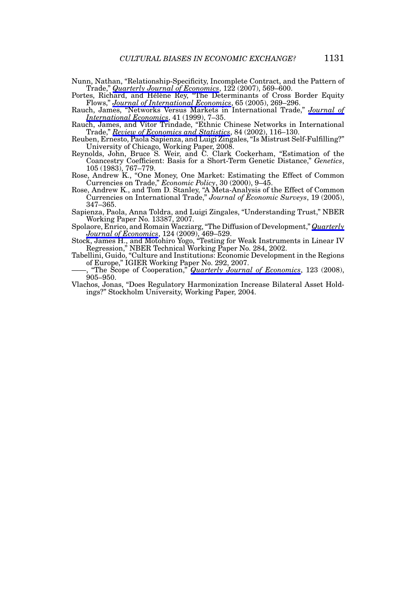- Nunn, Nathan, "Relationship-Specificity, Incomplete Contract, and the Pattern of Trade," *Quarterly Journal of Economics*, 122 (2007), 569–600.
- Portes, Richard, and Hélène Rey, "The Determinants of Cross Border Equity<br>Flows," Journal of International Economics, 65 (2005), 269–296.<br>Rauch, James, "Networks Versus Markets in International Trade," Journal of
- *International Economics*, 41 (1999), 7–35.
- Rauch, James, and Vitor Trindade, "Ethnic Chinese Networks in International Trade," *Review of Economics and Statistics*, 84 (2002), 116–130.
- Reuben, Ernesto, Paola Sapienza, and Luigi Zingales, "Is Mistrust Self-Fulfilling?" University of Chicago, Working Paper, 2008. Reynolds, John, Bruce S. Weir, and C. Clark Cockerham, "Estimation of the
- Coancestry Coefficient: Basis for a Short-Term Genetic Distance," *Genetics*, 105 (1983), 767–779.<br>Rose, Andrew K., "One Money, One Market: Estimating the Effect of Common Currencies on Trade," *Economic Policy*, 30 (2000)
- 
- Rose, Andrew K., and Tom D. Stanley, "A Meta-Analysis of the Effect of Common Currencies on International Trade," *Journal of Economic Surveys*, 19 (2005), 347–365.
- Sapienza, Paola, Anna Toldra, and Luigi Zingales, "Understanding Trust," NBER Working Paper No. 13387, 2007.
- Spolaore, Enrico, and Romain Wacziarg, "The Diffusion of Development," *Quarterly Journal of Economics*, 124 (2009), 469–529. Stock, James H., and Motohiro Yogo, "Testing for Weak Instruments in Linear IV
- Regression," NBER Technical Working Paper No. 284, 2002. Tabellini, Guido, "Culture and Institutions: Economic Development in the Regions
- of Europe," IGIER Working Paper No. 292, 2007.
- ——, "The Scope of Cooperation," *Quarterly Journal of Economics*, 123 (2008), 905–950.
- Vlachos, Jonas, "Does Regulatory Harmonization Increase Bilateral Asset Holdings?" Stockholm University, Working Paper, 2004.